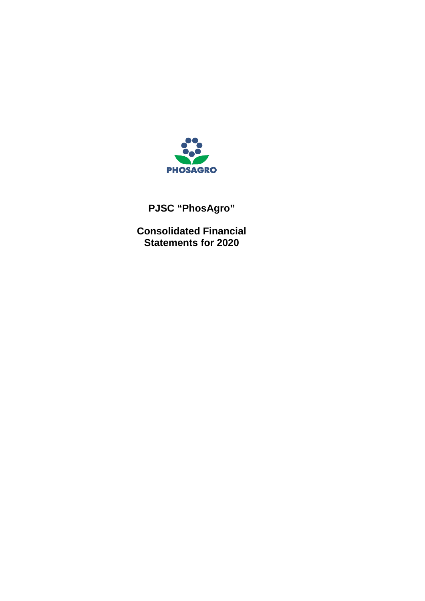

# **PJSC "PhosAgro"**

**Consolidated Financial Statements for 2020**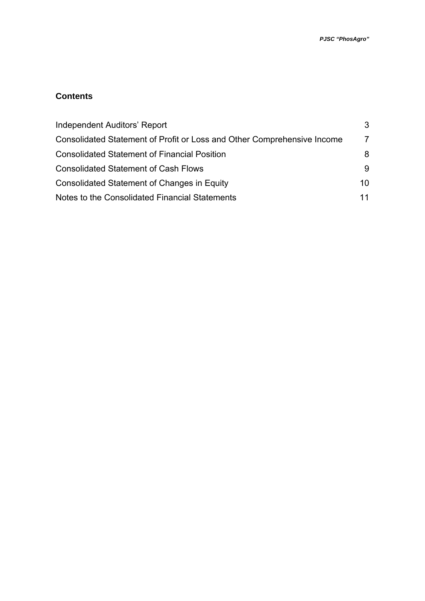# **Contents**

| Independent Auditors' Report                                            | 3              |
|-------------------------------------------------------------------------|----------------|
| Consolidated Statement of Profit or Loss and Other Comprehensive Income | $\overline{7}$ |
| <b>Consolidated Statement of Financial Position</b>                     | 8              |
| <b>Consolidated Statement of Cash Flows</b>                             | 9              |
| Consolidated Statement of Changes in Equity                             | 10             |
| Notes to the Consolidated Financial Statements                          | 11             |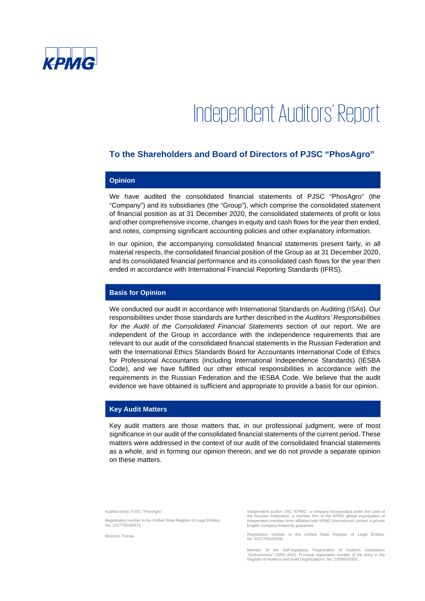

# Independent Auditors' Report

# **To the Shareholders and Board of Directors of PJSC "PhosAgro"**

#### **Opinion**

We have audited the consolidated financial statements of PJSC "PhosAgro" (the "Company") and its subsidiaries (the "Group"), which comprise the consolidated statement of financial position as at 31 December 2020, the consolidated statements of profit or loss and other comprehensive income, changes in equity and cash flows for the year then ended, and notes, comprising significant accounting policies and other explanatory information.

In our opinion, the accompanying consolidated financial statements present fairly, in all material respects, the consolidated financial position of the Group as at 31 December 2020, and its consolidated financial performance and its consolidated cash flows for the year then ended in accordance with International Financial Reporting Standards (IFRS).

#### **Basis for Opinion**

We conducted our audit in accordance with International Standards on Auditing (ISAs). Our responsibilities under those standards are further described in the *Auditors' Responsibilities for the Audit of the Consolidated Financial Statements* section of our report. We are independent of the Group in accordance with the independence requirements that are relevant to our audit of the consolidated financial statements in the Russian Federation and with the International Ethics Standards Board for Accountants International Code of Ethics for Professional Accountants (including International Independence Standards) (IESBA Code), and we have fulfilled our other ethical responsibilities in accordance with the requirements in the Russian Federation and the IESBA Code. We believe that the audit evidence we have obtained is sufficient and appropriate to provide a basis for our opinion.

# **Key Audit Matters**

Key audit matters are those matters that, in our professional judgment, were of most significance in our audit of the consolidated financial statements of the current period. These matters were addressed in the context of our audit of the consolidated financial statements as a whole, and in forming our opinion thereon, and we do not provide a separate opinion on these matters.

Audited entity: PJSC "PhosAgro"

Registration number in the Unified State Register of Legal Entities: No. 1027700190572.

Moscow, Russia

Independent auditor: JSC "KPMG", a company incorporated under the Laws of the Russian Federation, a member firm of the KPMG global organization of independent member firms affiliated with KPMG International Limited, a private English company limited by guarantee.

Registration number in the Unified State Register of Legal Entities: No. 1027700125628.

Member of the Self-regulatory Organization of Auditors Association "Sodruzhestvo" (SRO AAS). Principal registration number of the entry in the Register of Auditors and Audit Organizations: No. 12006020351.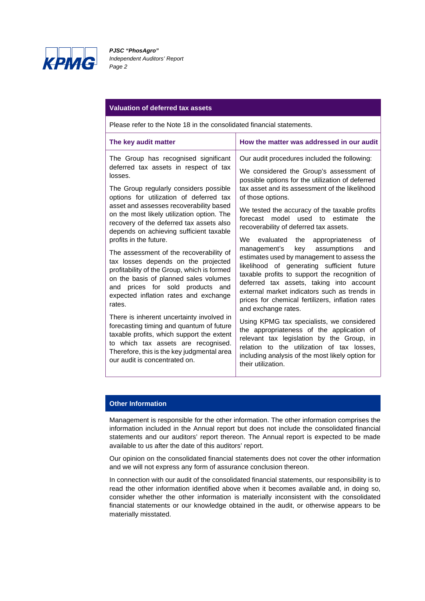

*PJSC "PhosAgro" Independent Auditors' Report Page 2* 

#### **Valuation of deferred tax assets**

Please refer to the Note 18 in the consolidated financial statements.

| The key audit matter                                                                                                                                                                                                                                                                    | How the matter was addressed in our audit                                                                                                                                                                                                                                                                                                                                                         |
|-----------------------------------------------------------------------------------------------------------------------------------------------------------------------------------------------------------------------------------------------------------------------------------------|---------------------------------------------------------------------------------------------------------------------------------------------------------------------------------------------------------------------------------------------------------------------------------------------------------------------------------------------------------------------------------------------------|
| The Group has recognised significant                                                                                                                                                                                                                                                    | Our audit procedures included the following:                                                                                                                                                                                                                                                                                                                                                      |
| deferred tax assets in respect of tax                                                                                                                                                                                                                                                   | We considered the Group's assessment of                                                                                                                                                                                                                                                                                                                                                           |
| losses.                                                                                                                                                                                                                                                                                 | possible options for the utilization of deferred                                                                                                                                                                                                                                                                                                                                                  |
| The Group regularly considers possible                                                                                                                                                                                                                                                  | tax asset and its assessment of the likelihood                                                                                                                                                                                                                                                                                                                                                    |
| options for utilization of deferred tax                                                                                                                                                                                                                                                 | of those options.                                                                                                                                                                                                                                                                                                                                                                                 |
| asset and assesses recoverability based<br>on the most likely utilization option. The<br>recovery of the deferred tax assets also<br>depends on achieving sufficient taxable                                                                                                            | We tested the accuracy of the taxable profits<br>model used to<br>estimate<br>forecast<br>the<br>recoverability of deferred tax assets.                                                                                                                                                                                                                                                           |
| profits in the future.<br>The assessment of the recoverability of<br>tax losses depends on the projected<br>profitability of the Group, which is formed<br>on the basis of planned sales volumes<br>and prices for sold products and<br>expected inflation rates and exchange<br>rates. | We evaluated the appropriateness<br>οf<br>management's key assumptions<br>and<br>estimates used by management to assess the<br>likelihood of generating sufficient future<br>taxable profits to support the recognition of<br>deferred tax assets, taking into account<br>external market indicators such as trends in<br>prices for chemical fertilizers, inflation rates<br>and exchange rates. |
| There is inherent uncertainty involved in                                                                                                                                                                                                                                               | Using KPMG tax specialists, we considered                                                                                                                                                                                                                                                                                                                                                         |
| forecasting timing and quantum of future                                                                                                                                                                                                                                                | the appropriateness of the application of                                                                                                                                                                                                                                                                                                                                                         |
| taxable profits, which support the extent                                                                                                                                                                                                                                               | relevant tax legislation by the Group, in                                                                                                                                                                                                                                                                                                                                                         |
| to which tax assets are recognised.                                                                                                                                                                                                                                                     | relation to the utilization of tax losses,                                                                                                                                                                                                                                                                                                                                                        |
| Therefore, this is the key judgmental area                                                                                                                                                                                                                                              | including analysis of the most likely option for                                                                                                                                                                                                                                                                                                                                                  |
| our audit is concentrated on.                                                                                                                                                                                                                                                           | their utilization.                                                                                                                                                                                                                                                                                                                                                                                |

# **Other Information**

Management is responsible for the other information. The other information comprises the information included in the Annual report but does not include the consolidated financial statements and our auditors' report thereon. The Annual report is expected to be made available to us after the date of this auditors' report.

Our opinion on the consolidated financial statements does not cover the other information and we will not express any form of assurance conclusion thereon.

In connection with our audit of the consolidated financial statements, our responsibility is to read the other information identified above when it becomes available and, in doing so, consider whether the other information is materially inconsistent with the consolidated financial statements or our knowledge obtained in the audit, or otherwise appears to be materially misstated.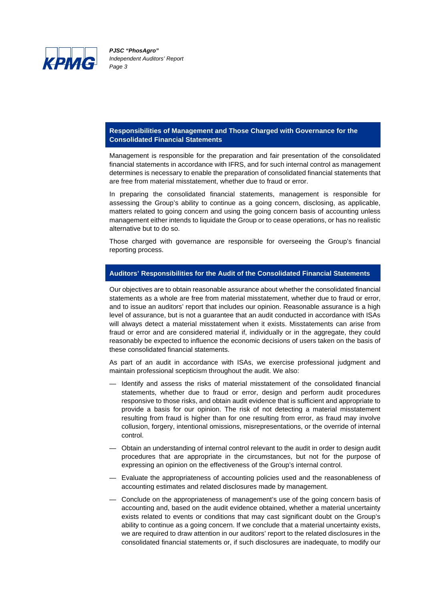

*PJSC "PhosAgro" Independent Auditors' Report Page 3* 

# **Responsibilities of Management and Those Charged with Governance for the Consolidated Financial Statements**

Management is responsible for the preparation and fair presentation of the consolidated financial statements in accordance with IFRS, and for such internal control as management determines is necessary to enable the preparation of consolidated financial statements that are free from material misstatement, whether due to fraud or error.

In preparing the consolidated financial statements, management is responsible for assessing the Group's ability to continue as a going concern, disclosing, as applicable, matters related to going concern and using the going concern basis of accounting unless management either intends to liquidate the Group or to cease operations, or has no realistic alternative but to do so.

Those charged with governance are responsible for overseeing the Group's financial reporting process.

#### **Auditors' Responsibilities for the Audit of the Consolidated Financial Statements**

Our objectives are to obtain reasonable assurance about whether the consolidated financial statements as a whole are free from material misstatement, whether due to fraud or error, and to issue an auditors' report that includes our opinion. Reasonable assurance is a high level of assurance, but is not a guarantee that an audit conducted in accordance with ISAs will always detect a material misstatement when it exists. Misstatements can arise from fraud or error and are considered material if, individually or in the aggregate, they could reasonably be expected to influence the economic decisions of users taken on the basis of these consolidated financial statements.

As part of an audit in accordance with ISAs, we exercise professional judgment and maintain professional scepticism throughout the audit. We also:

- Identify and assess the risks of material misstatement of the consolidated financial statements, whether due to fraud or error, design and perform audit procedures responsive to those risks, and obtain audit evidence that is sufficient and appropriate to provide a basis for our opinion. The risk of not detecting a material misstatement resulting from fraud is higher than for one resulting from error, as fraud may involve collusion, forgery, intentional omissions, misrepresentations, or the override of internal control.
- Obtain an understanding of internal control relevant to the audit in order to design audit procedures that are appropriate in the circumstances, but not for the purpose of expressing an opinion on the effectiveness of the Group's internal control.
- Evaluate the appropriateness of accounting policies used and the reasonableness of accounting estimates and related disclosures made by management.
- Conclude on the appropriateness of management's use of the going concern basis of accounting and, based on the audit evidence obtained, whether a material uncertainty exists related to events or conditions that may cast significant doubt on the Group's ability to continue as a going concern. If we conclude that a material uncertainty exists, we are required to draw attention in our auditors' report to the related disclosures in the consolidated financial statements or, if such disclosures are inadequate, to modify our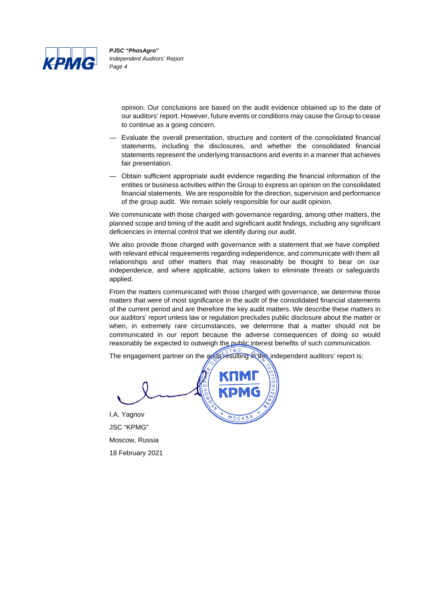

*PJSC "PhosAgro" Independent Auditors' Report Page 4* 

> opinion. Our conclusions are based on the audit evidence obtained up to the date of our auditors' report. However, future events or conditions may cause the Group to cease to continue as a going concern.

- Evaluate the overall presentation, structure and content of the consolidated financial statements, including the disclosures, and whether the consolidated financial statements represent the underlying transactions and events in a manner that achieves fair presentation.
- Obtain sufficient appropriate audit evidence regarding the financial information of the entities or business activities within the Group to express an opinion on the consolidated financial statements. We are responsible for the direction, supervision and performance of the group audit. We remain solely responsible for our audit opinion.

We communicate with those charged with governance regarding, among other matters, the planned scope and timing of the audit and significant audit findings, including any significant deficiencies in internal control that we identify during our audit.

We also provide those charged with governance with a statement that we have complied with relevant ethical requirements regarding independence, and communicate with them all relationships and other matters that may reasonably be thought to bear on our independence, and where applicable, actions taken to eliminate threats or safeguards applied.

From the matters communicated with those charged with governance, we determine those matters that were of most significance in the audit of the consolidated financial statements of the current period and are therefore the key audit matters. We describe these matters in our auditors' report unless law or regulation precludes public disclosure about the matter or when, in extremely rare circumstances, we determine that a matter should not be communicated in our report because the adverse consequences of doing so would reasonably be expected to outweigh the public interest benefits of such communication.

The engagement partner on the audit resulting in this independent auditors' report is:

I.A. Yagnov MOCKE

JSC "KPMG" Moscow, Russia 18 February 2021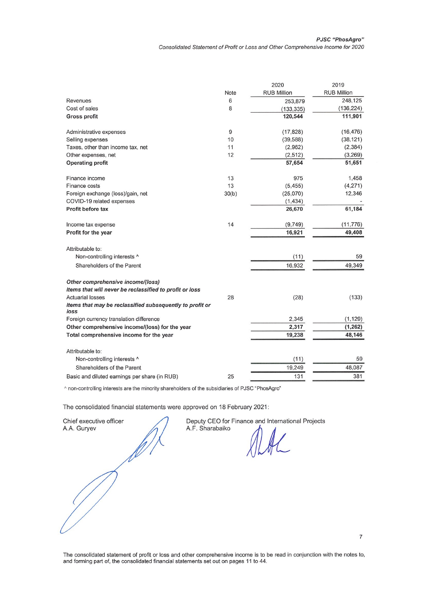|                                                                  |       | 2020               | 2019               |
|------------------------------------------------------------------|-------|--------------------|--------------------|
|                                                                  | Note  | <b>RUB Million</b> | <b>RUB Million</b> |
| Revenues                                                         | 6     | 253,879            | 248,125            |
| Cost of sales                                                    | 8     | (133, 335)         | (136, 224)         |
| <b>Gross profit</b>                                              |       | 120,544            | 111,901            |
| Administrative expenses                                          | 9     | (17, 828)          | (16, 476)          |
| Selling expenses                                                 | 10    | (39, 588)          | (38, 121)          |
| Taxes, other than income tax, net                                | 11    | (2,962)            | (2, 384)           |
| Other expenses, net                                              | 12    | (2, 512)           | (3,269)            |
| <b>Operating profit</b>                                          |       | 57,654             | 51,651             |
| Finance income                                                   | 13    | 975                | 1,458              |
| Finance costs                                                    | 13    | (5, 455)           | (4,271)            |
| Foreign exchange (loss)/gain, net                                | 30(b) | (25,070)           | 12,346             |
| COVID-19 related expenses                                        |       | (1, 434)           |                    |
| Profit before tax                                                |       | 26,670             | 61,184             |
| Income tax expense                                               | 14    | (9,749)            | (11, 776)          |
| Profit for the year                                              |       | 16,921             | 49,408             |
| Attributable to:                                                 |       |                    |                    |
| Non-controlling interests ^                                      |       | (11)               | 59                 |
| Shareholders of the Parent                                       |       | 16,932             | 49,349             |
| Other comprehensive income/(loss)                                |       |                    |                    |
| Items that will never be reclassified to profit or loss          |       |                    |                    |
| <b>Actuarial losses</b>                                          | 28    | (28)               | (133)              |
| Items that may be reclassified subsequently to profit or<br>loss |       |                    |                    |
| Foreign currency translation difference                          |       | 2,345              | (1, 129)           |
| Other comprehensive income/(loss) for the year                   |       | 2,317              | (1, 262)           |
| Total comprehensive income for the year                          |       | 19,238             | 48,146             |
| Attributable to:                                                 |       |                    |                    |
| Non-controlling interests ^                                      |       | (11)               | 59                 |
| Shareholders of the Parent                                       |       | 19,249             | 48,087             |
| Basic and diluted earnings per share (in RUB)                    | 25    | 131                | 381                |

^ non-controlling interests are the minority shareholders of the subsidiaries of PJSC "PhosAgro"

The consolidated financial statements were approved on 18 February 2021:

Chief executive officer A.A. Guryev

Deputy CEO for Finance and International Projects<br>A.F. Sharabaiko<br> $\overrightarrow{A}$ 

The consolidated statement of profit or loss and other comprehensive income is to be read in conjunction with the notes to, and forming part of, the consolidated financial statements set out on pages 11 to 44.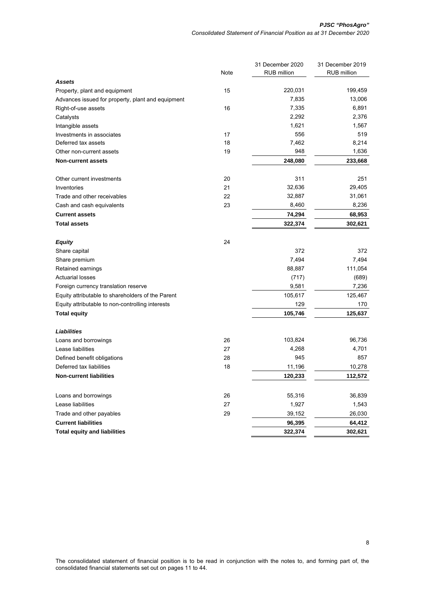|                                                   | Note | 31 December 2020<br><b>RUB</b> million | 31 December 2019<br><b>RUB</b> million |
|---------------------------------------------------|------|----------------------------------------|----------------------------------------|
| <b>Assets</b>                                     |      |                                        |                                        |
| Property, plant and equipment                     | 15   | 220,031                                | 199,459                                |
| Advances issued for property, plant and equipment |      | 7,835                                  | 13,006                                 |
| Right-of-use assets                               | 16   | 7,335                                  | 6,891                                  |
| Catalysts                                         |      | 2,292                                  | 2,376                                  |
| Intangible assets                                 |      | 1,621                                  | 1,567                                  |
| Investments in associates                         | 17   | 556                                    | 519                                    |
| Deferred tax assets                               | 18   | 7,462                                  | 8,214                                  |
| Other non-current assets                          | 19   | 948                                    | 1,636                                  |
| <b>Non-current assets</b>                         |      | 248,080                                | 233,668                                |
|                                                   |      |                                        |                                        |
| Other current investments                         | 20   | 311                                    | 251                                    |
| Inventories                                       | 21   | 32,636                                 | 29,405                                 |
| Trade and other receivables                       | 22   | 32,887                                 | 31,061                                 |
| Cash and cash equivalents                         | 23   | 8,460                                  | 8,236                                  |
| <b>Current assets</b>                             |      | 74,294                                 | 68,953                                 |
| <b>Total assets</b>                               |      | 322,374                                | 302,621                                |
|                                                   |      |                                        |                                        |
| <b>Equity</b>                                     | 24   |                                        |                                        |
| Share capital                                     |      | 372                                    | 372                                    |
| Share premium                                     |      | 7,494                                  | 7,494                                  |
| Retained earnings                                 |      | 88,887                                 | 111,054                                |
| <b>Actuarial losses</b>                           |      | (717)                                  | (689)                                  |
| Foreign currency translation reserve              |      | 9,581                                  | 7,236                                  |
| Equity attributable to shareholders of the Parent |      | 105,617                                | 125,467                                |
| Equity attributable to non-controlling interests  |      | 129                                    | 170                                    |
| <b>Total equity</b>                               |      | 105,746                                | 125,637                                |
|                                                   |      |                                        |                                        |
| Liabilities                                       |      |                                        |                                        |
| Loans and borrowings                              | 26   | 103,824                                | 96,736                                 |
| Lease liabilities                                 | 27   | 4,268                                  | 4,701                                  |
| Defined benefit obligations                       | 28   | 945                                    | 857                                    |
| Deferred tax liabilities                          | 18   | 11,196                                 | 10,278                                 |
| <b>Non-current liabilities</b>                    |      | 120,233                                | 112,572                                |
|                                                   |      |                                        |                                        |
| Loans and borrowings                              | 26   | 55,316                                 | 36,839                                 |
| Lease liabilities                                 | 27   | 1,927                                  | 1,543                                  |
| Trade and other payables                          | 29   | 39,152                                 | 26,030                                 |
| <b>Current liabilities</b>                        |      | 96,395                                 | 64,412                                 |
| <b>Total equity and liabilities</b>               |      | 322,374                                | 302,621                                |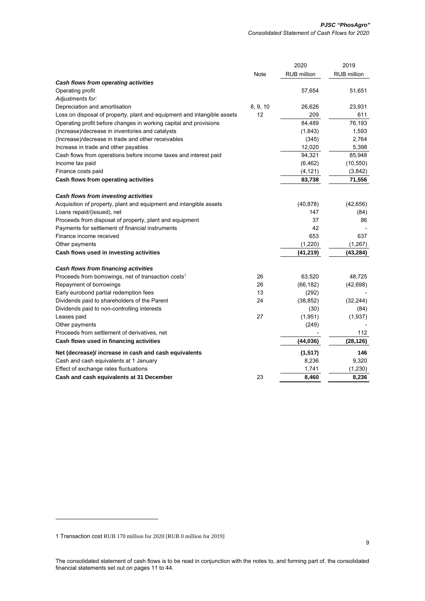|                                                                         |          | 2020               | 2019               |
|-------------------------------------------------------------------------|----------|--------------------|--------------------|
|                                                                         | Note     | <b>RUB million</b> | <b>RUB</b> million |
| Cash flows from operating activities                                    |          |                    |                    |
| Operating profit                                                        |          | 57,654             | 51,651             |
| Adjustments for:                                                        |          |                    |                    |
| Depreciation and amortisation                                           | 8, 9, 10 | 26,626             | 23,931             |
| Loss on disposal of property, plant and equipment and intangible assets | 12       | 209                | 611                |
| Operating profit before changes in working capital and provisions       |          | 84,489             | 76,193             |
| (Increase)/decrease in inventories and catalysts                        |          | (1, 843)           | 1,593              |
| (Increase)/decrease in trade and other receivables                      |          | (345)              | 2,764              |
| Increase in trade and other payables                                    |          | 12,020             | 5,398              |
| Cash flows from operations before income taxes and interest paid        |          | 94,321             | 85,948             |
| Income tax paid                                                         |          | (6, 462)           | (10, 550)          |
| Finance costs paid                                                      |          | (4, 121)           | (3, 842)           |
| Cash flows from operating activities                                    |          | 83,738             | 71,556             |
| Cash flows from investing activities                                    |          |                    |                    |
| Acquisition of property, plant and equipment and intangible assets      |          | (40, 878)          | (42, 656)          |
| Loans repaid/(issued), net                                              |          | 147                | (84)               |
| Proceeds from disposal of property, plant and equipment                 |          | 37                 | 86                 |
| Payments for settlement of financial instruments                        |          | 42                 |                    |
| Finance income received                                                 |          | 653                | 637                |
| Other payments                                                          |          | (1, 220)           | (1, 267)           |
| Cash flows used in investing activities                                 |          | (41, 219)          | (43, 284)          |
| Cash flows from financing activities                                    |          |                    |                    |
| Proceeds from borrowings, net of transaction costs <sup>1</sup>         | 26       | 63,520             | 48,725             |
| Repayment of borrowings                                                 | 26       | (66, 182)          | (42, 698)          |
| Early eurobond partial redemption fees                                  | 13       | (292)              |                    |
| Dividends paid to shareholders of the Parent                            | 24       | (38, 852)          | (32, 244)          |
| Dividends paid to non-controlling interests                             |          | (30)               | (84)               |
| Leases paid                                                             | 27       | (1,951)            | (1,937)            |
| Other payments                                                          |          | (249)              |                    |
| Proceeds from settlement of derivatives, net                            |          |                    | 112                |
| Cash flows used in financing activities                                 |          | (44, 036)          | (28, 126)          |
| Net (decrease)/ increase in cash and cash equivalents                   |          | (1, 517)           | 146                |
| Cash and cash equivalents at 1 January                                  |          | 8,236              | 9,320              |
| Effect of exchange rates fluctuations                                   |          | 1,741              | (1, 230)           |
| Cash and cash equivalents at 31 December                                | 23       | 8,460              | 8,236              |

<sup>1</sup> Transaction cost RUB 170 million for 2020 [RUB 0 million for 2019]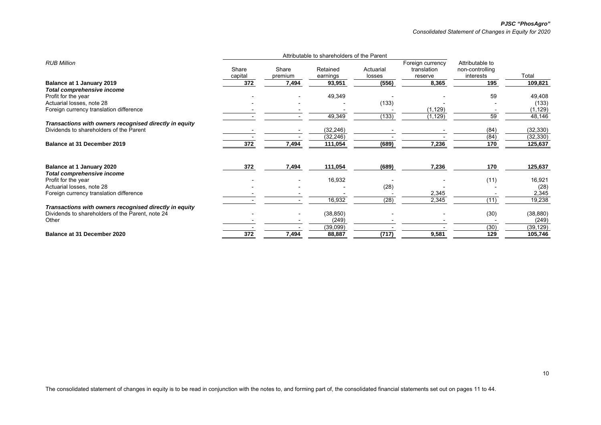|                                                        | Attributable to shareholders of the Parent |                  |                      |                     |                                            |                                                 |           |
|--------------------------------------------------------|--------------------------------------------|------------------|----------------------|---------------------|--------------------------------------------|-------------------------------------------------|-----------|
| <b>RUB Million</b>                                     | Share<br>capital                           | Share<br>premium | Retained<br>earnings | Actuarial<br>losses | Foreign currency<br>translation<br>reserve | Attributable to<br>non-controlling<br>interests | Total     |
| Balance at 1 January 2019                              | 372                                        | 7,494            | 93,951               | (556)               | 8,365                                      | 195                                             | 109,821   |
| Total comprehensive income                             |                                            |                  |                      |                     |                                            |                                                 |           |
| Profit for the year                                    |                                            |                  | 49,349               |                     |                                            | 59                                              | 49,408    |
| Actuarial losses, note 28                              |                                            |                  |                      | (133)               |                                            |                                                 | (133)     |
| Foreign currency translation difference                |                                            |                  |                      |                     | (1, 129)                                   |                                                 | (1, 129)  |
|                                                        |                                            |                  | 49,349               | (133)               | (1, 129)                                   | 59                                              | 48,146    |
| Transactions with owners recognised directly in equity |                                            |                  |                      |                     |                                            |                                                 |           |
| Dividends to shareholders of the Parent                |                                            |                  | (32, 246)            |                     |                                            | (84)                                            | (32, 330) |
|                                                        |                                            |                  | (32, 246)            |                     |                                            | (84)                                            | (32, 330) |
| Balance at 31 December 2019                            | 372                                        | 7,494            | 111,054              | (689)               | 7,236                                      | 170                                             | 125,637   |
|                                                        |                                            |                  |                      |                     |                                            |                                                 |           |
| Balance at 1 January 2020                              | 372                                        | 7,494            | 111,054              | (689)               | 7,236                                      | 170                                             | 125,637   |
| Total comprehensive income                             |                                            |                  |                      |                     |                                            |                                                 |           |
| Profit for the year                                    |                                            |                  | 16,932               |                     |                                            | (11)                                            | 16,921    |
| Actuarial losses, note 28                              |                                            |                  |                      | (28)                |                                            |                                                 | (28)      |
| Foreign currency translation difference                |                                            |                  |                      |                     | 2,345                                      |                                                 | 2,345     |
|                                                        |                                            |                  | 16,932               | (28)                | 2,345                                      | (11)                                            | 19,238    |
| Transactions with owners recognised directly in equity |                                            |                  |                      |                     |                                            |                                                 |           |
| Dividends to shareholders of the Parent, note 24       |                                            |                  | (38, 850)            |                     |                                            | (30)                                            | (38, 880) |
| Other                                                  |                                            |                  | (249)                |                     |                                            |                                                 | (249)     |
|                                                        |                                            |                  | (39,099)             |                     |                                            | (30)                                            | (39, 129) |
| Balance at 31 December 2020                            | 372                                        | 7,494            | 88,887               | (717)               | 9,581                                      | 129                                             | 105,746   |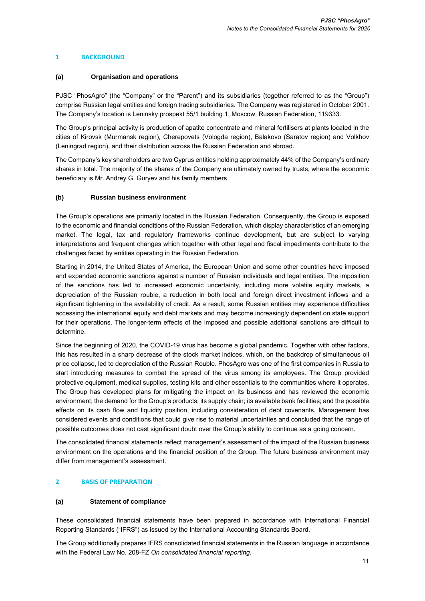# **1 BACKGROUND**

#### **(a) Organisation and operations**

PJSC "PhosAgro" (the "Company" or the "Parent") and its subsidiaries (together referred to as the "Group") comprise Russian legal entities and foreign trading subsidiaries. The Company was registered in October 2001. The Company's location is Leninsky prospekt 55/1 building 1, Moscow, Russian Federation, 119333.

The Group's principal activity is production of apatite concentrate and mineral fertilisers at plants located in the cities of Kirovsk (Murmansk region), Cherepovets (Vologda region), Balakovo (Saratov region) and Volkhov (Leningrad region), and their distribution across the Russian Federation and abroad.

The Company's key shareholders are two Cyprus entities holding approximately 44% of the Company's ordinary shares in total. The majority of the shares of the Company are ultimately owned by trusts, where the economic beneficiary is Mr. Andrey G. Guryev and his family members.

#### **(b) Russian business environment**

The Group's operations are primarily located in the Russian Federation. Consequently, the Group is exposed to the economic and financial conditions of the Russian Federation, which display characteristics of an emerging market. The legal, tax and regulatory frameworks continue development, but are subject to varying interpretations and frequent changes which together with other legal and fiscal impediments contribute to the challenges faced by entities operating in the Russian Federation.

Starting in 2014, the United States of America, the European Union and some other countries have imposed and expanded economic sanctions against a number of Russian individuals and legal entities. The imposition of the sanctions has led to increased economic uncertainty, including more volatile equity markets, a depreciation of the Russian rouble, a reduction in both local and foreign direct investment inflows and a significant tightening in the availability of credit. As a result, some Russian entities may experience difficulties accessing the international equity and debt markets and may become increasingly dependent on state support for their operations. The longer-term effects of the imposed and possible additional sanctions are difficult to determine.

Since the beginning of 2020, the COVID-19 virus has become a global pandemic. Together with other factors, this has resulted in a sharp decrease of the stock market indices, which, on the backdrop of simultaneous oil price collapse, led to depreciation of the Russian Rouble. PhosAgro was one of the first companies in Russia to start introducing measures to combat the spread of the virus among its employees. The Group provided protective equipment, medical supplies, testing kits and other essentials to the communities where it operates. The Group has developed plans for mitigating the impact on its business and has reviewed the economic environment; the demand for the Group's products; its supply chain; its available bank facilities; and the possible effects on its cash flow and liquidity position, including consideration of debt covenants. Management has considered events and conditions that could give rise to material uncertainties and concluded that the range of possible outcomes does not cast significant doubt over the Group's ability to continue as a going concern.

The consolidated financial statements reflect management's assessment of the impact of the Russian business environment on the operations and the financial position of the Group. The future business environment may differ from management's assessment.

# **2 BASIS OF PREPARATION**

#### **(a) Statement of compliance**

These consolidated financial statements have been prepared in accordance with International Financial Reporting Standards ("IFRS") as issued by the International Accounting Standards Board.

The Group additionally prepares IFRS consolidated financial statements in the Russian language in accordance with the Federal Law No. 208-FZ *On consolidated financial reporting*.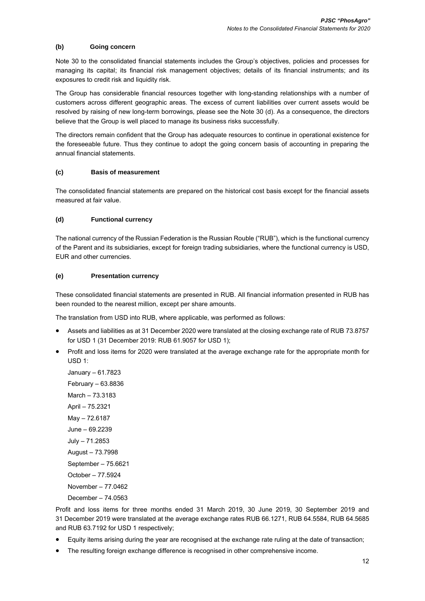#### **(b) Going concern**

Note 30 to the consolidated financial statements includes the Group's objectives, policies and processes for managing its capital; its financial risk management objectives; details of its financial instruments; and its exposures to credit risk and liquidity risk.

The Group has considerable financial resources together with long-standing relationships with a number of customers across different geographic areas. The excess of current liabilities over current assets would be resolved by raising of new long-term borrowings, please see the Note 30 (d). As a consequence, the directors believe that the Group is well placed to manage its business risks successfully.

The directors remain confident that the Group has adequate resources to continue in operational existence for the foreseeable future. Thus they continue to adopt the going concern basis of accounting in preparing the annual financial statements.

#### **(c) Basis of measurement**

The consolidated financial statements are prepared on the historical cost basis except for the financial assets measured at fair value.

# **(d) Functional currency**

The national currency of the Russian Federation is the Russian Rouble ("RUB"), which is the functional currency of the Parent and its subsidiaries, except for foreign trading subsidiaries, where the functional currency is USD, EUR and other currencies.

# **(e) Presentation currency**

These consolidated financial statements are presented in RUB. All financial information presented in RUB has been rounded to the nearest million, except per share amounts.

The translation from USD into RUB, where applicable, was performed as follows:

- Assets and liabilities as at 31 December 2020 were translated at the closing exchange rate of RUB 73.8757 for USD 1 (31 December 2019: RUB 61.9057 for USD 1);
- Profit and loss items for 2020 were translated at the average exchange rate for the appropriate month for USD 1:

January – 61.7823 February – 63.8836 March – 73.3183 April – 75.2321 May – 72.6187 June – 69.2239 July – 71.2853 August – 73.7998 September – 75.6621 October – 77.5924 November – 77.0462 December – 74.0563

Profit and loss items for three months ended 31 March 2019, 30 June 2019, 30 September 2019 and 31 December 2019 were translated at the average exchange rates RUB 66.1271, RUB 64.5584, RUB 64.5685 and RUB 63.7192 for USD 1 respectively;

- Equity items arising during the year are recognised at the exchange rate ruling at the date of transaction;
- The resulting foreign exchange difference is recognised in other comprehensive income.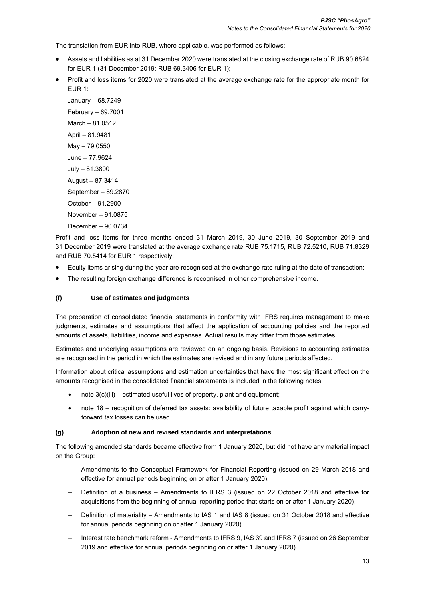The translation from EUR into RUB, where applicable, was performed as follows:

- Assets and liabilities as at 31 December 2020 were translated at the closing exchange rate of RUB 90.6824 for EUR 1 (31 December 2019: RUB 69.3406 for EUR 1);
- Profit and loss items for 2020 were translated at the average exchange rate for the appropriate month for EUR 1:

January – 68.7249 February – 69.7001 March – 81.0512 April – 81.9481 May – 79.0550 June – 77.9624 July – 81.3800 August – 87.3414 September – 89.2870 October – 91.2900 November – 91.0875 December – 90.0734

Profit and loss items for three months ended 31 March 2019, 30 June 2019, 30 September 2019 and 31 December 2019 were translated at the average exchange rate RUB 75.1715, RUB 72.5210, RUB 71.8329 and RUB 70.5414 for EUR 1 respectively;

- Equity items arising during the year are recognised at the exchange rate ruling at the date of transaction;
- The resulting foreign exchange difference is recognised in other comprehensive income.

#### **(f) Use of estimates and judgments**

The preparation of consolidated financial statements in conformity with IFRS requires management to make judgments, estimates and assumptions that affect the application of accounting policies and the reported amounts of assets, liabilities, income and expenses. Actual results may differ from those estimates.

Estimates and underlying assumptions are reviewed on an ongoing basis. Revisions to accounting estimates are recognised in the period in which the estimates are revised and in any future periods affected.

Information about critical assumptions and estimation uncertainties that have the most significant effect on the amounts recognised in the consolidated financial statements is included in the following notes:

- note 3(c)(iii) estimated useful lives of property, plant and equipment;
- note 18 recognition of deferred tax assets: availability of future taxable profit against which carryforward tax losses can be used.

#### **(g) Adoption of new and revised standards and interpretations**

The following amended standards became effective from 1 January 2020, but did not have any material impact on the Group:

- Amendments to the Conceptual Framework for Financial Reporting (issued on 29 March 2018 and effective for annual periods beginning on or after 1 January 2020).
- Definition of a business Amendments to IFRS 3 (issued on 22 October 2018 and effective for acquisitions from the beginning of annual reporting period that starts on or after 1 January 2020).
- Definition of materiality Amendments to IAS 1 and IAS 8 (issued on 31 October 2018 and effective for annual periods beginning on or after 1 January 2020).
- Interest rate benchmark reform Amendments to IFRS 9, IAS 39 and IFRS 7 (issued on 26 September 2019 and effective for annual periods beginning on or after 1 January 2020).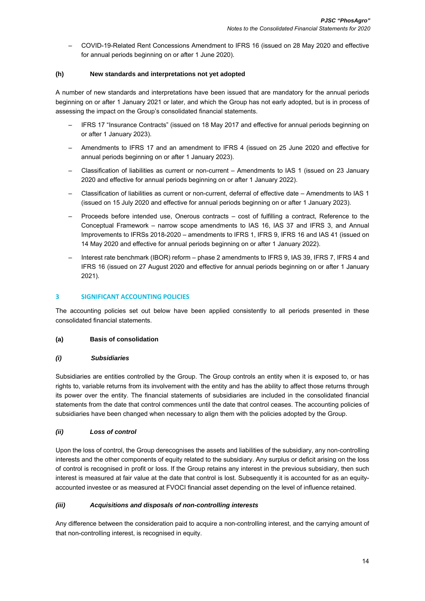– COVID-19-Related Rent Concessions Amendment to IFRS 16 (issued on 28 May 2020 and effective for annual periods beginning on or after 1 June 2020).

#### **(h) New standards and interpretations not yet adopted**

A number of new standards and interpretations have been issued that are mandatory for the annual periods beginning on or after 1 January 2021 or later, and which the Group has not early adopted, but is in process of assessing the impact on the Group's consolidated financial statements.

- IFRS 17 "Insurance Contracts" (issued on 18 May 2017 and effective for annual periods beginning on or after 1 January 2023).
- Amendments to IFRS 17 and an amendment to IFRS 4 (issued on 25 June 2020 and effective for annual periods beginning on or after 1 January 2023).
- Classification of liabilities as current or non-current Amendments to IAS 1 (issued on 23 January 2020 and effective for annual periods beginning on or after 1 January 2022).
- Classification of liabilities as current or non-current, deferral of effective date Amendments to IAS 1 (issued on 15 July 2020 and effective for annual periods beginning on or after 1 January 2023).
- Proceeds before intended use, Onerous contracts cost of fulfilling a contract, Reference to the Conceptual Framework – narrow scope amendments to IAS 16, IAS 37 and IFRS 3, and Annual Improvements to IFRSs 2018-2020 – amendments to IFRS 1, IFRS 9, IFRS 16 and IAS 41 (issued on 14 May 2020 and effective for annual periods beginning on or after 1 January 2022).
- Interest rate benchmark (IBOR) reform phase 2 amendments to IFRS 9, IAS 39, IFRS 7, IFRS 4 and IFRS 16 (issued on 27 August 2020 and effective for annual periods beginning on or after 1 January 2021).

# **3 SIGNIFICANT ACCOUNTING POLICIES**

The accounting policies set out below have been applied consistently to all periods presented in these consolidated financial statements.

#### **(a) Basis of consolidation**

#### *(i) Subsidiaries*

Subsidiaries are entities controlled by the Group. The Group controls an entity when it is exposed to, or has rights to, variable returns from its involvement with the entity and has the ability to affect those returns through its power over the entity. The financial statements of subsidiaries are included in the consolidated financial statements from the date that control commences until the date that control ceases. The accounting policies of subsidiaries have been changed when necessary to align them with the policies adopted by the Group.

# *(ii) Loss of control*

Upon the loss of control, the Group derecognises the assets and liabilities of the subsidiary, any non-controlling interests and the other components of equity related to the subsidiary. Any surplus or deficit arising on the loss of control is recognised in profit or loss. If the Group retains any interest in the previous subsidiary, then such interest is measured at fair value at the date that control is lost. Subsequently it is accounted for as an equityaccounted investee or as measured at FVOCI financial asset depending on the level of influence retained.

#### *(iii) Acquisitions and disposals of non-controlling interests*

Any difference between the consideration paid to acquire a non-controlling interest, and the carrying amount of that non-controlling interest, is recognised in equity.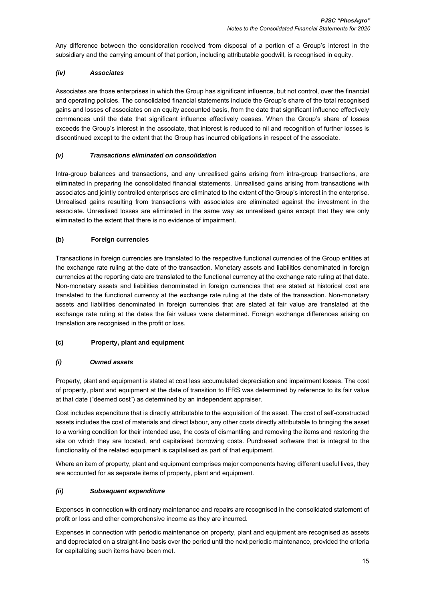Any difference between the consideration received from disposal of a portion of a Group's interest in the subsidiary and the carrying amount of that portion, including attributable goodwill, is recognised in equity.

# *(iv) Associates*

Associates are those enterprises in which the Group has significant influence, but not control, over the financial and operating policies. The consolidated financial statements include the Group's share of the total recognised gains and losses of associates on an equity accounted basis, from the date that significant influence effectively commences until the date that significant influence effectively ceases. When the Group's share of losses exceeds the Group's interest in the associate, that interest is reduced to nil and recognition of further losses is discontinued except to the extent that the Group has incurred obligations in respect of the associate.

#### *(v) Transactions eliminated on consolidation*

Intra-group balances and transactions, and any unrealised gains arising from intra-group transactions, are eliminated in preparing the consolidated financial statements. Unrealised gains arising from transactions with associates and jointly controlled enterprises are eliminated to the extent of the Group's interest in the enterprise. Unrealised gains resulting from transactions with associates are eliminated against the investment in the associate. Unrealised losses are eliminated in the same way as unrealised gains except that they are only eliminated to the extent that there is no evidence of impairment.

#### **(b) Foreign currencies**

Transactions in foreign currencies are translated to the respective functional currencies of the Group entities at the exchange rate ruling at the date of the transaction. Monetary assets and liabilities denominated in foreign currencies at the reporting date are translated to the functional currency at the exchange rate ruling at that date. Non-monetary assets and liabilities denominated in foreign currencies that are stated at historical cost are translated to the functional currency at the exchange rate ruling at the date of the transaction. Non-monetary assets and liabilities denominated in foreign currencies that are stated at fair value are translated at the exchange rate ruling at the dates the fair values were determined. Foreign exchange differences arising on translation are recognised in the profit or loss.

# **(c) Property, plant and equipment**

#### *(i) Owned assets*

Property, plant and equipment is stated at cost less accumulated depreciation and impairment losses. The cost of property, plant and equipment at the date of transition to IFRS was determined by reference to its fair value at that date ("deemed cost") as determined by an independent appraiser.

Cost includes expenditure that is directly attributable to the acquisition of the asset. The cost of self-constructed assets includes the cost of materials and direct labour, any other costs directly attributable to bringing the asset to a working condition for their intended use, the costs of dismantling and removing the items and restoring the site on which they are located, and capitalised borrowing costs. Purchased software that is integral to the functionality of the related equipment is capitalised as part of that equipment.

Where an item of property, plant and equipment comprises major components having different useful lives, they are accounted for as separate items of property, plant and equipment.

#### *(ii) Subsequent expenditure*

Expenses in connection with ordinary maintenance and repairs are recognised in the consolidated statement of profit or loss and other comprehensive income as they are incurred.

Expenses in connection with periodic maintenance on property, plant and equipment are recognised as assets and depreciated on a straight-line basis over the period until the next periodic maintenance, provided the criteria for capitalizing such items have been met.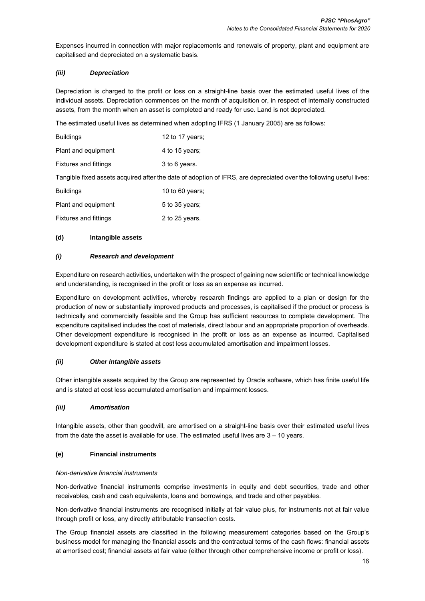Expenses incurred in connection with major replacements and renewals of property, plant and equipment are capitalised and depreciated on a systematic basis.

#### *(iii) Depreciation*

Depreciation is charged to the profit or loss on a straight-line basis over the estimated useful lives of the individual assets. Depreciation commences on the month of acquisition or, in respect of internally constructed assets, from the month when an asset is completed and ready for use. Land is not depreciated.

The estimated useful lives as determined when adopting IFRS (1 January 2005) are as follows:

| <b>Buildings</b>             | 12 to 17 years; |
|------------------------------|-----------------|
| Plant and equipment          | 4 to 15 years;  |
| <b>Fixtures and fittings</b> | 3 to 6 years.   |

Tangible fixed assets acquired after the date of adoption of IFRS, are depreciated over the following useful lives:

| <b>Buildings</b>             | 10 to 60 years;  |
|------------------------------|------------------|
| Plant and equipment          | 5 to $35$ years; |
| <b>Fixtures and fittings</b> | 2 to 25 years.   |

#### **(d) Intangible assets**

#### *(i) Research and development*

Expenditure on research activities, undertaken with the prospect of gaining new scientific or technical knowledge and understanding, is recognised in the profit or loss as an expense as incurred.

Expenditure on development activities, whereby research findings are applied to a plan or design for the production of new or substantially improved products and processes, is capitalised if the product or process is technically and commercially feasible and the Group has sufficient resources to complete development. The expenditure capitalised includes the cost of materials, direct labour and an appropriate proportion of overheads. Other development expenditure is recognised in the profit or loss as an expense as incurred. Capitalised development expenditure is stated at cost less accumulated amortisation and impairment losses.

#### *(ii) Other intangible assets*

Other intangible assets acquired by the Group are represented by Oracle software, which has finite useful life and is stated at cost less accumulated amortisation and impairment losses.

#### *(iii) Amortisation*

Intangible assets, other than goodwill, are amortised on a straight-line basis over their estimated useful lives from the date the asset is available for use. The estimated useful lives are  $3 - 10$  years.

#### **(e) Financial instruments**

#### *Non-derivative financial instruments*

Non-derivative financial instruments comprise investments in equity and debt securities, trade and other receivables, cash and cash equivalents, loans and borrowings, and trade and other payables.

Non-derivative financial instruments are recognised initially at fair value plus, for instruments not at fair value through profit or loss, any directly attributable transaction costs.

The Group financial assets are classified in the following measurement categories based on the Group's business model for managing the financial assets and the contractual terms of the cash flows: financial assets at amortised cost; financial assets at fair value (either through other comprehensive income or profit or loss).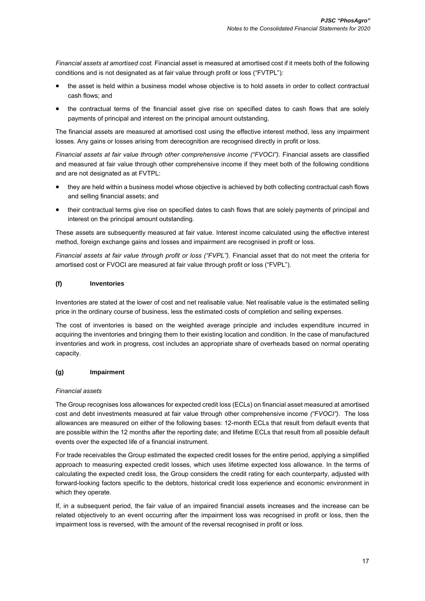*Financial assets at amortised cost.* Financial asset is measured at amortised cost if it meets both of the following conditions and is not designated as at fair value through profit or loss ("FVTPL")*:*

- the asset is held within a business model whose objective is to hold assets in order to collect contractual cash flows; and
- the contractual terms of the financial asset give rise on specified dates to cash flows that are solely payments of principal and interest on the principal amount outstanding.

The financial assets are measured at amortised cost using the effective interest method, less any impairment losses. Any gains or losses arising from derecognition are recognised directly in profit or loss.

*Financial assets at fair value through other comprehensive income ("FVOCI").* Financial assets are classified and measured at fair value through other comprehensive income if they meet both of the following conditions and are not designated as at FVTPL:

- they are held within a business model whose objective is achieved by both collecting contractual cash flows and selling financial assets; and
- their contractual terms give rise on specified dates to cash flows that are solely payments of principal and interest on the principal amount outstanding.

These assets are subsequently measured at fair value. Interest income calculated using the effective interest method, foreign exchange gains and losses and impairment are recognised in profit or loss.

*Financial assets at fair value through profit or loss ("FVPL").* Financial asset that do not meet the criteria for amortised cost or FVOCI are measured at fair value through profit or loss ("FVPL").

#### **(f) Inventories**

Inventories are stated at the lower of cost and net realisable value. Net realisable value is the estimated selling price in the ordinary course of business, less the estimated costs of completion and selling expenses.

The cost of inventories is based on the weighted average principle and includes expenditure incurred in acquiring the inventories and bringing them to their existing location and condition. In the case of manufactured inventories and work in progress, cost includes an appropriate share of overheads based on normal operating capacity.

#### **(g) Impairment**

#### *Financial assets*

The Group recognises loss allowances for expected credit loss (ECLs) on financial asset measured at amortised cost and debt investments measured at fair value through other comprehensive income *("FVOCI")*. The loss allowances are measured on either of the following bases: 12-month ECLs that result from default events that are possible within the 12 months after the reporting date; and lifetime ECLs that result from all possible default events over the expected life of a financial instrument.

For trade receivables the Group estimated the expected credit losses for the entire period, applying a simplified approach to measuring expected credit losses, which uses lifetime expected loss allowance. In the terms of calculating the expected credit loss, the Group considers the credit rating for each counterparty, adjusted with forward-looking factors specific to the debtors, historical credit loss experience and economic environment in which they operate.

If, in a subsequent period, the fair value of an impaired financial assets increases and the increase can be related objectively to an event occurring after the impairment loss was recognised in profit or loss, then the impairment loss is reversed, with the amount of the reversal recognised in profit or loss.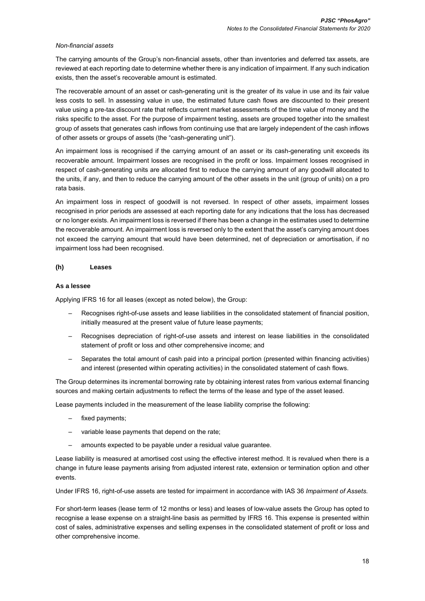#### *Non-financial assets*

The carrying amounts of the Group's non-financial assets, other than inventories and deferred tax assets, are reviewed at each reporting date to determine whether there is any indication of impairment. If any such indication exists, then the asset's recoverable amount is estimated.

The recoverable amount of an asset or cash-generating unit is the greater of its value in use and its fair value less costs to sell. In assessing value in use, the estimated future cash flows are discounted to their present value using a pre-tax discount rate that reflects current market assessments of the time value of money and the risks specific to the asset. For the purpose of impairment testing, assets are grouped together into the smallest group of assets that generates cash inflows from continuing use that are largely independent of the cash inflows of other assets or groups of assets (the "cash-generating unit").

An impairment loss is recognised if the carrying amount of an asset or its cash-generating unit exceeds its recoverable amount. Impairment losses are recognised in the profit or loss. Impairment losses recognised in respect of cash-generating units are allocated first to reduce the carrying amount of any goodwill allocated to the units, if any, and then to reduce the carrying amount of the other assets in the unit (group of units) on a pro rata basis.

An impairment loss in respect of goodwill is not reversed. In respect of other assets, impairment losses recognised in prior periods are assessed at each reporting date for any indications that the loss has decreased or no longer exists. An impairment loss is reversed if there has been a change in the estimates used to determine the recoverable amount. An impairment loss is reversed only to the extent that the asset's carrying amount does not exceed the carrying amount that would have been determined, net of depreciation or amortisation, if no impairment loss had been recognised.

#### **(h) Leases**

#### **As a lessee**

Applying IFRS 16 for all leases (except as noted below), the Group:

- Recognises right-of-use assets and lease liabilities in the consolidated statement of financial position, initially measured at the present value of future lease payments;
- Recognises depreciation of right-of-use assets and interest on lease liabilities in the consolidated statement of profit or loss and other comprehensive income; and
- Separates the total amount of cash paid into a principal portion (presented within financing activities) and interest (presented within operating activities) in the consolidated statement of cash flows.

The Group determines its incremental borrowing rate by obtaining interest rates from various external financing sources and making certain adjustments to reflect the terms of the lease and type of the asset leased.

Lease payments included in the measurement of the lease liability comprise the following:

- fixed payments;
- variable lease payments that depend on the rate;
- amounts expected to be payable under a residual value guarantee.

Lease liability is measured at amortised cost using the effective interest method. It is revalued when there is a change in future lease payments arising from adjusted interest rate, extension or termination option and other events.

Under IFRS 16, right-of-use assets are tested for impairment in accordance with IAS 36 *Impairment of Assets*.

For short-term leases (lease term of 12 months or less) and leases of low-value assets the Group has opted to recognise a lease expense on a straight-line basis as permitted by IFRS 16. This expense is presented within cost of sales, administrative expenses and selling expenses in the consolidated statement of profit or loss and other comprehensive income.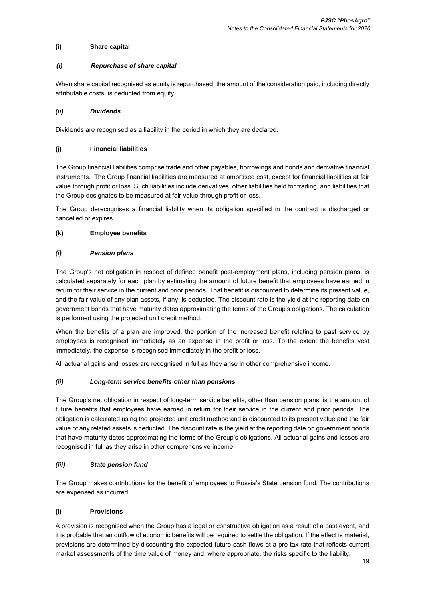#### **(i) Share capital**

# *(i) Repurchase of share capital*

When share capital recognised as equity is repurchased, the amount of the consideration paid, including directly attributable costs, is deducted from equity.

# *(ii) Dividends*

Dividends are recognised as a liability in the period in which they are declared.

# **(j) Financial liabilities**

The Group financial liabilities comprise trade and other payables, borrowings and bonds and derivative financial instruments. The Group financial liabilities are measured at amortised cost, except for financial liabilities at fair value through profit or loss. Such liabilities include derivatives, other liabilities held for trading, and liabilities that the Group designates to be measured at fair value through profit or loss.

The Group derecognises a financial liability when its obligation specified in the contract is discharged or cancelled or expires.

# **(k) Employee benefits**

#### *(i) Pension plans*

The Group's net obligation in respect of defined benefit post-employment plans, including pension plans, is calculated separately for each plan by estimating the amount of future benefit that employees have earned in return for their service in the current and prior periods. That benefit is discounted to determine its present value, and the fair value of any plan assets, if any, is deducted. The discount rate is the yield at the reporting date on government bonds that have maturity dates approximating the terms of the Group's obligations. The calculation is performed using the projected unit credit method.

When the benefits of a plan are improved, the portion of the increased benefit relating to past service by employees is recognised immediately as an expense in the profit or loss. To the extent the benefits vest immediately, the expense is recognised immediately in the profit or loss.

All actuarial gains and losses are recognised in full as they arise in other comprehensive income.

# *(ii) Long-term service benefits other than pensions*

The Group's net obligation in respect of long-term service benefits, other than pension plans, is the amount of future benefits that employees have earned in return for their service in the current and prior periods. The obligation is calculated using the projected unit credit method and is discounted to its present value and the fair value of any related assets is deducted. The discount rate is the yield at the reporting date on government bonds that have maturity dates approximating the terms of the Group's obligations. All actuarial gains and losses are recognised in full as they arise in other comprehensive income.

# *(iii) State pension fund*

The Group makes contributions for the benefit of employees to Russia's State pension fund. The contributions are expensed as incurred.

# **(l) Provisions**

A provision is recognised when the Group has a legal or constructive obligation as a result of a past event, and it is probable that an outflow of economic benefits will be required to settle the obligation. If the effect is material, provisions are determined by discounting the expected future cash flows at a pre-tax rate that reflects current market assessments of the time value of money and, where appropriate, the risks specific to the liability.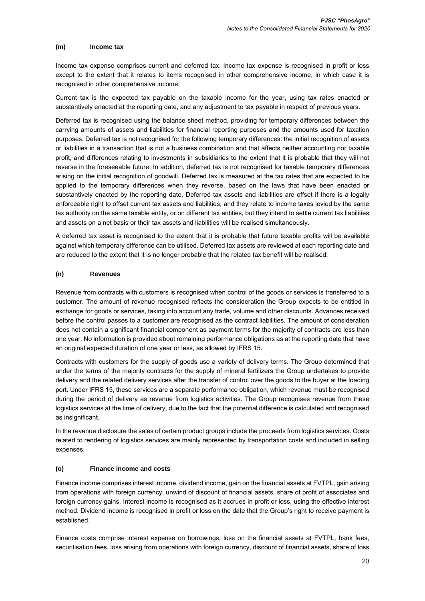#### **(m) Income tax**

Income tax expense comprises current and deferred tax. Income tax expense is recognised in profit or loss except to the extent that it relates to items recognised in other comprehensive income, in which case it is recognised in other comprehensive income.

Current tax is the expected tax payable on the taxable income for the year, using tax rates enacted or substantively enacted at the reporting date, and any adjustment to tax payable in respect of previous years.

Deferred tax is recognised using the balance sheet method, providing for temporary differences between the carrying amounts of assets and liabilities for financial reporting purposes and the amounts used for taxation purposes. Deferred tax is not recognised for the following temporary differences: the initial recognition of assets or liabilities in a transaction that is not a business combination and that affects neither accounting nor taxable profit, and differences relating to investments in subsidiaries to the extent that it is probable that they will not reverse in the foreseeable future. In addition, deferred tax is not recognised for taxable temporary differences arising on the initial recognition of goodwill. Deferred tax is measured at the tax rates that are expected to be applied to the temporary differences when they reverse, based on the laws that have been enacted or substantively enacted by the reporting date. Deferred tax assets and liabilities are offset if there is a legally enforceable right to offset current tax assets and liabilities, and they relate to income taxes levied by the same tax authority on the same taxable entity, or on different tax entities, but they intend to settle current tax liabilities and assets on a net basis or their tax assets and liabilities will be realised simultaneously.

A deferred tax asset is recognised to the extent that it is probable that future taxable profits will be available against which temporary difference can be utilised. Deferred tax assets are reviewed at each reporting date and are reduced to the extent that it is no longer probable that the related tax benefit will be realised.

#### **(n) Revenues**

Revenue from contracts with customers is recognised when control of the goods or services is transferred to a customer. The amount of revenue recognised reflects the consideration the Group expects to be entitled in exchange for goods or services, taking into account any trade, volume and other discounts. Advances received before the control passes to a customer are recognised as the contract liabilities. The amount of consideration does not contain a significant financial component as payment terms for the majority of contracts are less than one year. No information is provided about remaining performance obligations as at the reporting date that have an original expected duration of one year or less, as allowed by IFRS 15.

Contracts with customers for the supply of goods use a variety of delivery terms. The Group determined that under the terms of the majority contracts for the supply of mineral fertilizers the Group undertakes to provide delivery and the related delivery services after the transfer of control over the goods to the buyer at the loading port. Under IFRS 15, these services are a separate performance obligation, which revenue must be recognised during the period of delivery as revenue from logistics activities. The Group recognises revenue from these logistics services at the time of delivery, due to the fact that the potential difference is calculated and recognised as insignificant.

In the revenue disclosure the sales of certain product groups include the proceeds from logistics services. Costs related to rendering of logistics services are mainly represented by transportation costs and included in selling expenses.

#### **(o) Finance income and costs**

Finance income comprises interest income, dividend income, gain on the financial assets at FVTPL, gain arising from operations with foreign currency, unwind of discount of financial assets, share of profit of associates and foreign currency gains. Interest income is recognised as it accrues in profit or loss, using the effective interest method. Dividend income is recognised in profit or loss on the date that the Group's right to receive payment is established.

Finance costs comprise interest expense on borrowings, loss on the financial assets at FVTPL, bank fees, securitisation fees, loss arising from operations with foreign currency, discount of financial assets, share of loss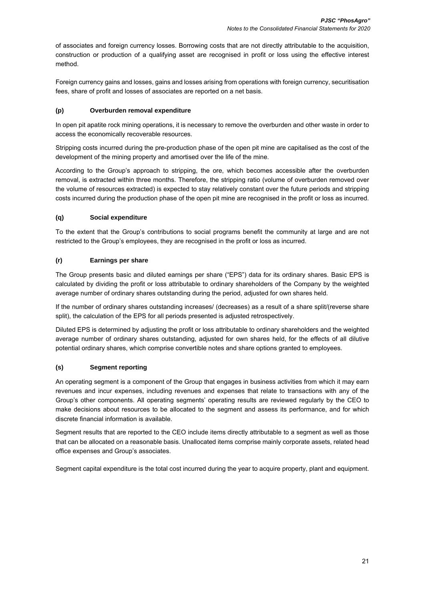of associates and foreign currency losses. Borrowing costs that are not directly attributable to the acquisition, construction or production of a qualifying asset are recognised in profit or loss using the effective interest method.

Foreign currency gains and losses, gains and losses arising from operations with foreign currency, securitisation fees, share of profit and losses of associates are reported on a net basis.

# **(p) Overburden removal expenditure**

In open pit apatite rock mining operations, it is necessary to remove the overburden and other waste in order to access the economically recoverable resources.

Stripping costs incurred during the pre-production phase of the open pit mine are capitalised as the cost of the development of the mining property and amortised over the life of the mine.

According to the Group's approach to stripping, the ore, which becomes accessible after the overburden removal, is extracted within three months. Therefore, the stripping ratio (volume of overburden removed over the volume of resources extracted) is expected to stay relatively constant over the future periods and stripping costs incurred during the production phase of the open pit mine are recognised in the profit or loss as incurred.

# **(q) Social expenditure**

To the extent that the Group's contributions to social programs benefit the community at large and are not restricted to the Group's employees, they are recognised in the profit or loss as incurred.

# **(r) Earnings per share**

The Group presents basic and diluted earnings per share ("EPS") data for its ordinary shares. Basic EPS is calculated by dividing the profit or loss attributable to ordinary shareholders of the Company by the weighted average number of ordinary shares outstanding during the period, adjusted for own shares held.

If the number of ordinary shares outstanding increases/ (decreases) as a result of a share split/(reverse share split), the calculation of the EPS for all periods presented is adjusted retrospectively.

Diluted EPS is determined by adjusting the profit or loss attributable to ordinary shareholders and the weighted average number of ordinary shares outstanding, adjusted for own shares held, for the effects of all dilutive potential ordinary shares, which comprise convertible notes and share options granted to employees.

# **(s) Segment reporting**

An operating segment is a component of the Group that engages in business activities from which it may earn revenues and incur expenses, including revenues and expenses that relate to transactions with any of the Group's other components. All operating segments' operating results are reviewed regularly by the CEO to make decisions about resources to be allocated to the segment and assess its performance, and for which discrete financial information is available.

Segment results that are reported to the CEO include items directly attributable to a segment as well as those that can be allocated on a reasonable basis. Unallocated items comprise mainly corporate assets, related head office expenses and Group's associates.

Segment capital expenditure is the total cost incurred during the year to acquire property, plant and equipment.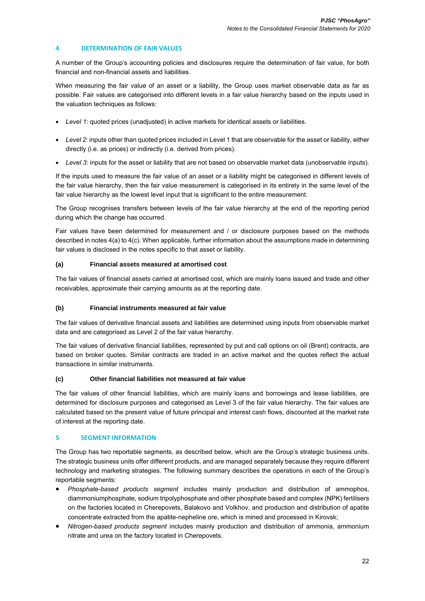#### **4 DETERMINATION OF FAIR VALUES**

A number of the Group's accounting policies and disclosures require the determination of fair value, for both financial and non-financial assets and liabilities.

When measuring the fair value of an asset or a liability, the Group uses market observable data as far as possible. Fair values are categorised into different levels in a fair value hierarchy based on the inputs used in the valuation techniques as follows:

- *Level 1*: quoted prices (unadjusted) in active markets for identical assets or liabilities.
- *Level 2*: inputs other than quoted prices included in Level 1 that are observable for the asset or liability, either directly (i.e. as prices) or indirectly (i.e. derived from prices).
- *Level 3*: inputs for the asset or liability that are not based on observable market data (unobservable inputs).

If the inputs used to measure the fair value of an asset or a liability might be categorised in different levels of the fair value hierarchy, then the fair value measurement is categorised in its entirety in the same level of the fair value hierarchy as the lowest level input that is significant to the entire measurement.

The Group recognises transfers between levels of the fair value hierarchy at the end of the reporting period during which the change has occurred.

Fair values have been determined for measurement and / or disclosure purposes based on the methods described in notes 4(a) to 4(с). When applicable, further information about the assumptions made in determining fair values is disclosed in the notes specific to that asset or liability.

#### **(a) Financial assets measured at amortised cost**

The fair values of financial assets carried at amortised cost, which are mainly loans issued and trade and other receivables, approximate their carrying amounts as at the reporting date.

#### **(b) Financial instruments measured at fair value**

The fair values of derivative financial assets and liabilities are determined using inputs from observable market data and are categorised as Level 2 of the fair value hierarchy.

The fair values of derivative financial liabilities, represented by put and call options on oil (Brent) contracts, are based on broker quotes. Similar contracts are traded in an active market and the quotes reflect the actual transactions in similar instruments.

#### **(c) Other financial liabilities not measured at fair value**

The fair values of other financial liabilities, which are mainly loans and borrowings and lease liabilities, are determined for disclosure purposes and categorised as Level 3 of the fair value hierarchy. The fair values are calculated based on the present value of future principal and interest cash flows, discounted at the market rate of interest at the reporting date.

#### **5 SEGMENT INFORMATION**

The Group has two reportable segments, as described below, which are the Group's strategic business units. The strategic business units offer different products, and are managed separately because they require different technology and marketing strategies. The following summary describes the operations in each of the Group's reportable segments:

- *Phosphate-based products segment* includes mainly production and distribution of ammophos, diammoniumphosphate, sodium tripolyphosphate and other phosphate based and complex (NPK) fertilisers on the factories located in Cherepovets, Balakovo and Volkhov, and production and distribution of apatite concentrate extracted from the apatite-nepheline ore, which is mined and processed in Kirovsk;
- *Nitrogen-based products segment* includes mainly production and distribution of ammonia, ammonium nitrate and urea on the factory located in Cherepovets.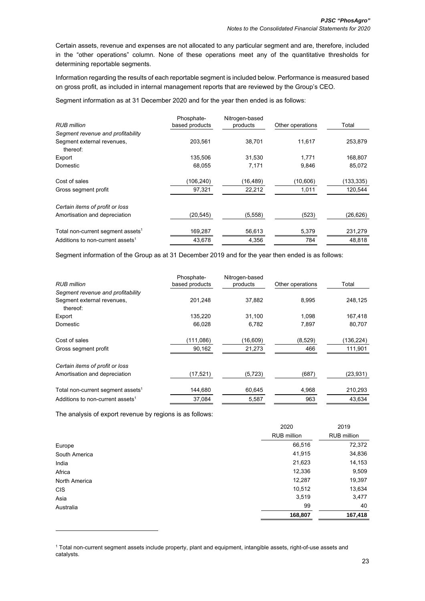Certain assets, revenue and expenses are not allocated to any particular segment and are, therefore, included in the "other operations" column. None of these operations meet any of the quantitative thresholds for determining reportable segments.

Information regarding the results of each reportable segment is included below. Performance is measured based on gross profit, as included in internal management reports that are reviewed by the Group's CEO.

Segment information as at 31 December 2020 and for the year then ended is as follows:

| <b>RUB</b> million                            | Phosphate-<br>based products | Nitrogen-based<br>products | Other operations | Total     |
|-----------------------------------------------|------------------------------|----------------------------|------------------|-----------|
| Segment revenue and profitability             |                              |                            |                  |           |
| Segment external revenues,<br>thereof:        | 203,561                      | 38,701                     | 11,617           | 253,879   |
| Export                                        | 135.506                      | 31.530                     | 1.771            | 168,807   |
| Domestic                                      | 68.055                       | 7,171                      | 9,846            | 85,072    |
| Cost of sales                                 | (106, 240)                   | (16, 489)                  | (10,606)         | (133,335) |
| Gross segment profit                          | 97,321                       | 22,212                     | 1,011            | 120,544   |
| Certain items of profit or loss               |                              |                            |                  |           |
| Amortisation and depreciation                 | (20, 545)                    | (5,558)                    | (523)            | (26, 626) |
| Total non-current segment assets <sup>1</sup> | 169,287                      | 56,613                     | 5,379            | 231,279   |
| Additions to non-current assets <sup>1</sup>  | 43,678                       | 4,356                      | 784              | 48,818    |

Segment information of the Group as at 31 December 2019 and for the year then ended is as follows:

| <b>RUB</b> million                            | Phosphate-<br>based products | Nitrogen-based<br>products | Other operations | Total      |
|-----------------------------------------------|------------------------------|----------------------------|------------------|------------|
|                                               |                              |                            |                  |            |
| Segment revenue and profitability             |                              |                            |                  |            |
| Segment external revenues.                    | 201.248                      | 37,882                     | 8.995            | 248,125    |
| thereof:                                      |                              |                            |                  |            |
| Export                                        | 135,220                      | 31,100                     | 1.098            | 167,418    |
| Domestic                                      | 66.028                       | 6,782                      | 7,897            | 80,707     |
| Cost of sales                                 | (111,086)                    | (16,609)                   | (8,529)          | (136, 224) |
| Gross segment profit                          | 90,162                       | 21,273                     | 466              | 111,901    |
| Certain items of profit or loss               |                              |                            |                  |            |
| Amortisation and depreciation                 | (17,521)                     | (5, 723)                   | (687)            | (23,931)   |
| Total non-current segment assets <sup>1</sup> | 144,680                      | 60,645                     | 4,968            | 210,293    |
| Additions to non-current assets <sup>1</sup>  | 37,084                       | 5.587                      | 963              | 43.634     |

The analysis of export revenue by regions is as follows:

| RUB million<br>RUB million<br>66,516<br>41,915<br>21,623<br>12,336<br>9,509<br>19,397<br>12,287<br>13,634<br>10,512<br>3,519<br>3,477<br>40<br>99<br>168,807 |               | 2020 | 2019    |
|--------------------------------------------------------------------------------------------------------------------------------------------------------------|---------------|------|---------|
|                                                                                                                                                              |               |      |         |
|                                                                                                                                                              | Europe        |      | 72,372  |
|                                                                                                                                                              | South America |      | 34,836  |
|                                                                                                                                                              | India         |      | 14,153  |
|                                                                                                                                                              | Africa        |      |         |
|                                                                                                                                                              | North America |      |         |
|                                                                                                                                                              | <b>CIS</b>    |      |         |
|                                                                                                                                                              | Asia          |      |         |
|                                                                                                                                                              | Australia     |      |         |
|                                                                                                                                                              |               |      | 167,418 |

1 Total non-current segment assets include property, plant and equipment, intangible assets, right-of-use assets and catalysts.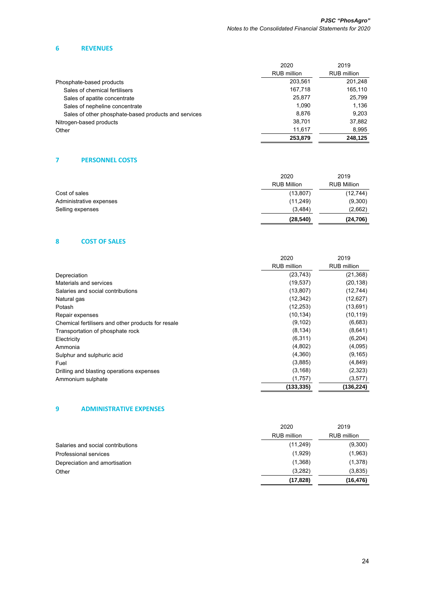#### **6 REVENUES**

|                                                      | 2020               | 2019               |
|------------------------------------------------------|--------------------|--------------------|
|                                                      | <b>RUB million</b> | <b>RUB</b> million |
| Phosphate-based products                             | 203,561            | 201,248            |
| Sales of chemical fertilisers                        | 167.718            | 165,110            |
| Sales of apatite concentrate                         | 25,877             | 25,799             |
| Sales of nepheline concentrate                       | 1.090              | 1.136              |
| Sales of other phosphate-based products and services | 8.876              | 9.203              |
| Nitrogen-based products                              | 38.701             | 37,882             |
| Other                                                | 11.617             | 8.995              |
|                                                      | 253.879            | 248.125            |

# **7 PERSONNEL COSTS**

|                         | 2020               | 2019               |
|-------------------------|--------------------|--------------------|
|                         | <b>RUB Million</b> | <b>RUB Million</b> |
| Cost of sales           | (13, 807)          | (12, 744)          |
| Administrative expenses | (11,249)           | (9,300)            |
| Selling expenses        | (3, 484)           | (2,662)            |
|                         | (28, 540)          | (24, 706)          |

# **8 COST OF SALES**

|                                                    | 2020               | 2019               |
|----------------------------------------------------|--------------------|--------------------|
|                                                    | <b>RUB million</b> | <b>RUB</b> million |
| Depreciation                                       | (23, 743)          | (21, 368)          |
| Materials and services                             | (19, 537)          | (20, 138)          |
| Salaries and social contributions                  | (13, 807)          | (12, 744)          |
| Natural gas                                        | (12, 342)          | (12, 627)          |
| Potash                                             | (12, 253)          | (13,691)           |
| Repair expenses                                    | (10, 134)          | (10, 119)          |
| Chemical fertilisers and other products for resale | (9, 102)           | (6,683)            |
| Transportation of phosphate rock                   | (8, 134)           | (8,641)            |
| Electricity                                        | (6, 311)           | (6, 204)           |
| Ammonia                                            | (4,802)            | (4,095)            |
| Sulphur and sulphuric acid                         | (4,360)            | (9, 165)           |
| Fuel                                               | (3,885)            | (4, 849)           |
| Drilling and blasting operations expenses          | (3, 168)           | (2,323)            |
| Ammonium sulphate                                  | (1,757)            | (3,577)            |
|                                                    | (133, 335)         | (136, 224)         |

#### **9 ADMINISTRATIVE EXPENSES**

|                                   | 2020               | 2019               |
|-----------------------------------|--------------------|--------------------|
|                                   | <b>RUB</b> million | <b>RUB million</b> |
| Salaries and social contributions | (11, 249)          | (9,300)            |
| Professional services             | (1,929)            | (1,963)            |
| Depreciation and amortisation     | (1,368)            | (1,378)            |
| Other                             | (3,282)            | (3,835)            |
|                                   | (17, 828)          | (16, 476)          |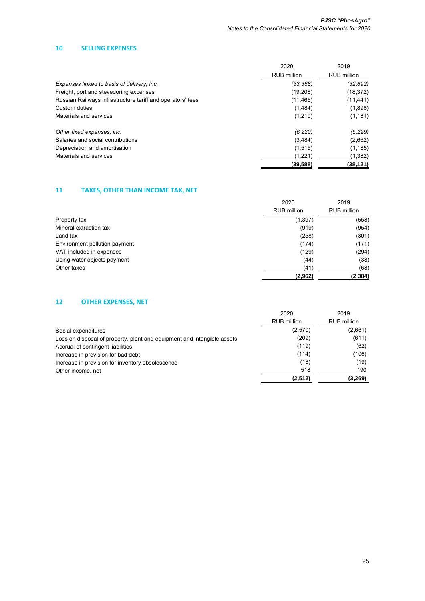#### **10 SELLING EXPENSES**

|                                                            | 2020               | 2019               |
|------------------------------------------------------------|--------------------|--------------------|
|                                                            | <b>RUB</b> million | <b>RUB</b> million |
| Expenses linked to basis of delivery, inc.                 | (33, 368)          | (32, 892)          |
| Freight, port and stevedoring expenses                     | (19,208)           | (18, 372)          |
| Russian Railways infrastructure tariff and operators' fees | (11, 466)          | (11, 441)          |
| Custom duties                                              | (1,484)            | (1,898)            |
| Materials and services                                     | (1,210)            | (1, 181)           |
| Other fixed expenses, inc.                                 | (6, 220)           | (5, 229)           |
| Salaries and social contributions                          | (3, 484)           | (2,662)            |
| Depreciation and amortisation                              | (1,515)            | (1, 185)           |
| Materials and services                                     | (1,221)            | (1, 382)           |
|                                                            | (39, 588)          | (38, 121)          |

# **11 TAXES, OTHER THAN INCOME TAX, NET**

|                               | 2020               | 2019               |
|-------------------------------|--------------------|--------------------|
|                               | <b>RUB million</b> | <b>RUB million</b> |
| Property tax                  | (1, 397)           | (558)              |
| Mineral extraction tax        | (919)              | (954)              |
| Land tax                      | (258)              | (301)              |
| Environment pollution payment | (174)              | (171)              |
| VAT included in expenses      | (129)              | (294)              |
| Using water objects payment   | (44)               | (38)               |
| Other taxes                   | (41)               | (68)               |
|                               | (2,962)            | (2, 384)           |

# **12 OTHER EXPENSES, NET**

|                                                                         | 2020               | 2019               |
|-------------------------------------------------------------------------|--------------------|--------------------|
|                                                                         | <b>RUB</b> million | <b>RUB</b> million |
| Social expenditures                                                     | (2,570)            | (2,661)            |
| Loss on disposal of property, plant and equipment and intangible assets | (209)              | (611)              |
| Accrual of contingent liabilities                                       | (119)              | (62)               |
| Increase in provision for bad debt                                      | (114)              | (106)              |
| Increase in provision for inventory obsolescence                        | (18)               | (19)               |
| Other income, net                                                       | 518                | 190                |
|                                                                         | (2,512)            | (3,269)            |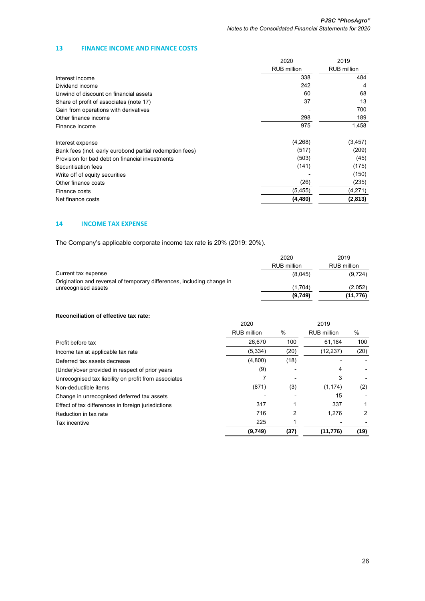# **13 FINANCE INCOME AND FINANCE COSTS**

|                                                          | 2020               | 2019               |
|----------------------------------------------------------|--------------------|--------------------|
|                                                          | <b>RUB million</b> | <b>RUB million</b> |
| Interest income                                          | 338                | 484                |
| Dividend income                                          | 242                | 4                  |
| Unwind of discount on financial assets                   | 60                 | 68                 |
| Share of profit of associates (note 17)                  | 37                 | 13                 |
| Gain from operations with derivatives                    |                    | 700                |
| Other finance income                                     | 298                | 189                |
| Finance income                                           | 975                | 1,458              |
| Interest expense                                         | (4,268)            | (3, 457)           |
| Bank fees (incl. early eurobond partial redemption fees) | (517)              | (209)              |
| Provision for bad debt on financial investments          | (503)              | (45)               |
| Securitisation fees                                      | (141)              | (175)              |
| Write off of equity securities                           |                    | (150)              |
| Other finance costs                                      | (26)               | (235)              |
| Finance costs                                            | (5,455)            | (4,271)            |
| Net finance costs                                        | (4,480)            | (2, 813)           |

# **14 INCOME TAX EXPENSE**

The Company's applicable corporate income tax rate is 20% (2019: 20%).

|                                                                                               | 2020        | 2019        |
|-----------------------------------------------------------------------------------------------|-------------|-------------|
|                                                                                               | RUB million | RUB million |
| Current tax expense                                                                           | (8,045)     | (9, 724)    |
| Origination and reversal of temporary differences, including change in<br>unrecognised assets | (1.704)     | (2,052)     |
|                                                                                               | (9,749)     | (11, 776)   |

#### **Reconciliation of effective tax rate:**

|                                                      | 2020               |      | 2019               |      |
|------------------------------------------------------|--------------------|------|--------------------|------|
|                                                      | <b>RUB</b> million | %    | <b>RUB</b> million | %    |
| Profit before tax                                    | 26,670             | 100  | 61,184             | 100  |
| Income tax at applicable tax rate                    | (5, 334)           | (20) | (12, 237)          | (20) |
| Deferred tax assets decrease                         | (4,800)            | (18) |                    |      |
| (Under)/over provided in respect of prior years      | (9)                |      | 4                  |      |
| Unrecognised tax liability on profit from associates |                    |      | 3                  |      |
| Non-deductible items                                 | (871)              | (3)  | (1, 174)           | (2)  |
| Change in unrecognised deferred tax assets           |                    |      | 15                 |      |
| Effect of tax differences in foreign jurisdictions   | 317                |      | 337                |      |
| Reduction in tax rate                                | 716                | 2    | 1.276              | 2    |
| Tax incentive                                        | 225                |      |                    |      |
|                                                      | (9,749)            | (37) | (11, 776)          | (19) |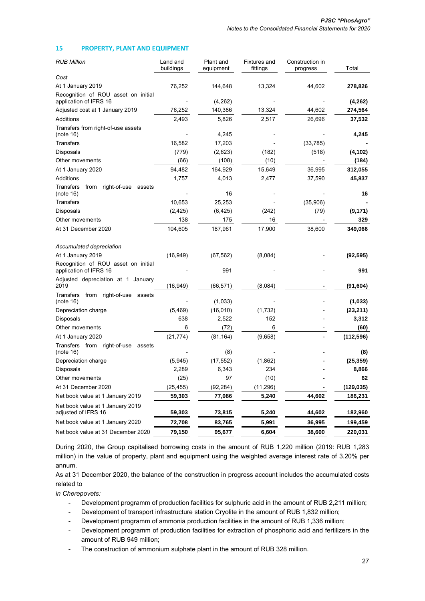#### **15 PROPERTY, PLANT AND EQUIPMENT**

| <b>RUB Million</b>                                            | Land and<br>buildings | Plant and<br>equipment | <b>Fixtures and</b><br>fittings | Construction in<br>progress | Total      |
|---------------------------------------------------------------|-----------------------|------------------------|---------------------------------|-----------------------------|------------|
| Cost                                                          |                       |                        |                                 |                             |            |
| At 1 January 2019                                             | 76,252                | 144,648                | 13,324                          | 44,602                      | 278,826    |
| Recognition of ROU asset on initial<br>application of IFRS 16 |                       | (4,262)                |                                 |                             | (4,262)    |
| Adjusted cost at 1 January 2019                               | 76,252                | 140,386                | 13,324                          | 44,602                      | 274,564    |
| Additions                                                     | 2,493                 | 5,826                  | 2,517                           | 26,696                      | 37,532     |
| Transfers from right-of-use assets<br>(note 16)               |                       | 4,245                  |                                 |                             | 4,245      |
| <b>Transfers</b>                                              | 16,582                | 17,203                 |                                 | (33, 785)                   |            |
| Disposals                                                     | (779)                 | (2,623)                | (182)                           | (518)                       | (4, 102)   |
| Other movements                                               | (66)                  | (108)                  | (10)                            |                             | (184)      |
| At 1 January 2020                                             | 94,482                | 164,929                | 15,649                          | 36,995                      | 312,055    |
| Additions                                                     | 1,757                 | 4,013                  | 2,477                           | 37,590                      | 45,837     |
| Transfers<br>from<br>right-of-use<br>assets<br>(note 16)      |                       | 16                     |                                 |                             | 16         |
| <b>Transfers</b>                                              | 10,653                | 25,253                 |                                 | (35,906)                    |            |
| Disposals                                                     | (2, 425)              | (6, 425)               | (242)                           | (79)                        | (9, 171)   |
| Other movements                                               | 138                   | 175                    | 16                              |                             | 329        |
| At 31 December 2020                                           | 104,605               | 187,961                | 17,900                          | 38,600                      | 349,066    |
|                                                               |                       |                        |                                 |                             |            |
| Accumulated depreciation                                      |                       |                        |                                 |                             |            |
| At 1 January 2019                                             | (16, 949)             | (67, 562)              | (8,084)                         |                             | (92, 595)  |
| Recognition of ROU asset on initial<br>application of IFRS 16 |                       | 991                    |                                 |                             | 991        |
| Adjusted depreciation at 1 January<br>2019                    | (16, 949)             | (66,571)               | (8,084)                         |                             | (91,604)   |
| Transfers from right-of-use assets<br>(note 16)               |                       | (1,033)                |                                 |                             | (1,033)    |
| Depreciation charge                                           | (5, 469)              | (16, 010)              | (1,732)                         |                             | (23, 211)  |
| Disposals                                                     | 638                   | 2,522                  | 152                             |                             | 3,312      |
| Other movements                                               | 6                     | (72)                   | 6                               |                             | (60)       |
| At 1 January 2020                                             | (21, 774)             | (81, 164)              | (9,658)                         |                             | (112, 596) |
| Transfers from right-of-use assets<br>(note 16)               |                       | (8)                    |                                 |                             | (8)        |
| Depreciation charge                                           | (5,945)               | (17, 552)              | (1,862)                         |                             | (25, 359)  |
| <b>Disposals</b>                                              | 2,289                 | 6,343                  | 234                             |                             | 8,866      |
| Other movements                                               | (25)                  | 97                     | (10)                            |                             | 62         |
| At 31 December 2020                                           | (25, 455)             | (92,284)               | (11, 296)                       |                             | (129,035)  |
| Net book value at 1 January 2019                              | 59,303                | 77,086                 | 5,240                           | 44,602                      | 186,231    |
| Net book value at 1 January 2019<br>adjusted of IFRS 16       | 59,303                | 73,815                 | 5,240                           | 44,602                      | 182,960    |
| Net book value at 1 January 2020                              | 72,708                | 83,765                 | 5,991                           | 36,995                      | 199,459    |
| Net book value at 31 December 2020                            | 79,150                | 95,677                 | 6,604                           | 38,600                      | 220,031    |

During 2020, the Group capitalised borrowing costs in the amount of RUB 1,220 million (2019: RUB 1,283 million) in the value of property, plant and equipment using the weighted average interest rate of 3.20% per annum.

As at 31 December 2020, the balance of the construction in progress account includes the accumulated costs related to

*in Cherepovets:* 

- Development programm of production facilities for sulphuric acid in the amount of RUB 2,211 million;
- Development of transport infrastructure station Cryolite in the amount of RUB 1,832 million;
- Development programm of ammonia production facilities in the amount of RUB 1,336 million;
- Development programm of production facilities for extraction of phosphoric acid and fertilizers in the amount of RUB 949 million;
- The construction of ammonium sulphate plant in the amount of RUB 328 million.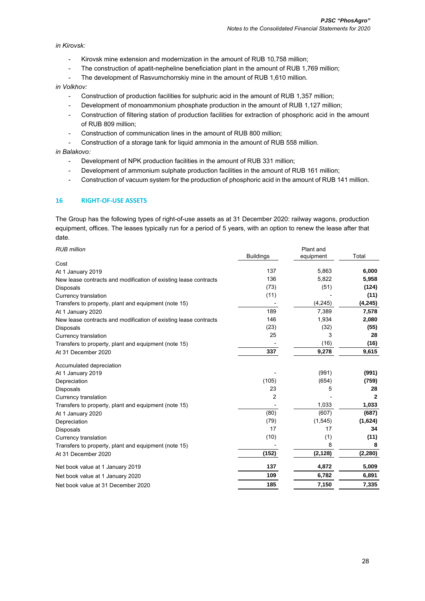Plant and

# *in Kirovsk:*

- Kirovsk mine extension and modernization in the amount of RUB 10,758 million;
- The construction of apatit-nepheline beneficiation plant in the amount of RUB 1,769 million;
- The development of Rasvumchorrskiy mine in the amount of RUB 1,610 million.

#### *in Volkhov:*

- Construction of production facilities for sulphuric acid in the amount of RUB 1,357 million;
- Development of monoammonium phosphate production in the amount of RUB 1,127 million;
- Construction of filtering station of production facilities for extraction of phosphoric acid in the amount of RUB 809 million;
- Construction of communication lines in the amount of RUB 800 million;
- Construction of a storage tank for liquid ammonia in the amount of RUB 558 million.

#### *in Balakovo:*

- Development of NPK production facilities in the amount of RUB 331 million;
- Development of ammonium sulphate production facilities in the amount of RUB 161 million;
- Construction of vacuum system for the production of phosphoric acid in the amount of RUB 141 million.

#### **16 RIGHT‐OF‐USE ASSETS**

The Group has the following types of right-of-use assets as at 31 December 2020: railway wagons, production equipment, offices. The leases typically run for a period of 5 years, with an option to renew the lease after that date.

*RUB million*

|                                                                  | <b>Buildings</b> | equipment | Total        |
|------------------------------------------------------------------|------------------|-----------|--------------|
| Cost                                                             |                  |           |              |
| At 1 January 2019                                                | 137              | 5,863     | 6,000        |
| New lease contracts and modification of existing lease contracts | 136              | 5,822     | 5,958        |
| <b>Disposals</b>                                                 | (73)             | (51)      | (124)        |
| Currency translation                                             | (11)             |           | (11)         |
| Transfers to property, plant and equipment (note 15)             |                  | (4, 245)  | (4, 245)     |
| At 1 January 2020                                                | 189              | 7.389     | 7,578        |
| New lease contracts and modification of existing lease contracts | 146              | 1,934     | 2,080        |
| <b>Disposals</b>                                                 | (23)             | (32)      | (55)         |
| Currency translation                                             | 25               | 3         | 28           |
| Transfers to property, plant and equipment (note 15)             |                  | (16)      | (16)         |
| At 31 December 2020                                              | 337              | 9,278     | 9,615        |
| Accumulated depreciation                                         |                  |           |              |
| At 1 January 2019                                                |                  | (991)     | (991)        |
| Depreciation                                                     | (105)            | (654)     | (759)        |
| Disposals                                                        | 23               | 5         | 28           |
| Currency translation                                             | 2                |           | $\mathbf{2}$ |
| Transfers to property, plant and equipment (note 15)             |                  | 1,033     | 1,033        |
| At 1 January 2020                                                | (80)             | (607)     | (687)        |
| Depreciation                                                     | (79)             | (1, 545)  | (1,624)      |
| Disposals                                                        | 17               | 17        | 34           |
| Currency translation                                             | (10)             | (1)       | (11)         |
| Transfers to property, plant and equipment (note 15)             |                  | 8         | 8            |
| At 31 December 2020                                              | (152)            | (2, 128)  | (2, 280)     |
| Net book value at 1 January 2019                                 | 137              | 4,872     | 5,009        |
| Net book value at 1 January 2020                                 | 109              | 6,782     | 6,891        |
| Net book value at 31 December 2020                               | 185              | 7,150     | 7,335        |
|                                                                  |                  |           |              |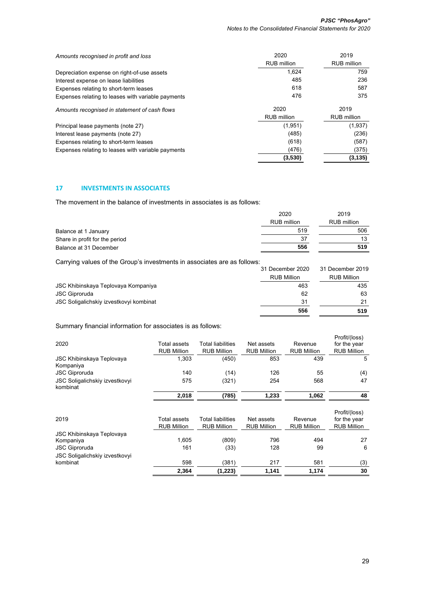| Amounts recognised in profit and loss              | 2020               | 2019               |
|----------------------------------------------------|--------------------|--------------------|
|                                                    | <b>RUB million</b> | <b>RUB</b> million |
| Depreciation expense on right-of-use assets        | 1.624              | 759                |
| Interest expense on lease liabilities              | 485                | 236                |
| Expenses relating to short-term leases             | 618                | 587                |
| Expenses relating to leases with variable payments | 476                | 375                |
| Amounts recognised in statement of cash flows      | 2020               | 2019               |
|                                                    | <b>RUB million</b> | <b>RUB million</b> |
| Principal lease payments (note 27)                 | (1,951)            | (1,937)            |
| Interest lease payments (note 27)                  | (485)              | (236)              |
| Expenses relating to short-term leases             | (618)              | (587)              |
| Expenses relating to leases with variable payments | (476)              | (375)              |
|                                                    | (3,530)            | (3, 135)           |

#### **17 INVESTMENTS IN ASSOCIATES**

The movement in the balance of investments in associates is as follows:

|                                | 2020        | 2019        |
|--------------------------------|-------------|-------------|
|                                | RUB million | RUB million |
| Balance at 1 January           | 519         | 506         |
| Share in profit for the period | 37          | 13          |
| Balance at 31 December         | 556         | 519         |
|                                |             |             |

Carrying values of the Group's investments in associates are as follows:

|                                         | 31 December 2020   | 31 December 2019   |
|-----------------------------------------|--------------------|--------------------|
|                                         | <b>RUB Million</b> | <b>RUB Million</b> |
| JSC Khibinskaya Teplovaya Kompaniya     | 463                | 435                |
| <b>JSC Giproruda</b>                    | 62                 | 63                 |
| JSC Soligalichskiy izvestkovyi kombinat | 31                 | 21                 |
|                                         | 556                | 519                |

Summary financial information for associates is as follows:

|                                                   |                                    |                                         |                                  |                               | Profit/(loss)                      |
|---------------------------------------------------|------------------------------------|-----------------------------------------|----------------------------------|-------------------------------|------------------------------------|
| 2020                                              | Total assets                       | <b>Total liabilities</b>                | Net assets                       | Revenue                       | for the year                       |
|                                                   | <b>RUB Million</b>                 | <b>RUB Million</b>                      | <b>RUB Million</b>               | <b>RUB Million</b>            | <b>RUB Million</b>                 |
| <b>JSC Khibinskaya Teplovaya</b><br>Kompaniya     | 1.303                              | (450)                                   | 853                              | 439                           | 5                                  |
| <b>JSC Giproruda</b>                              | 140                                | (14)                                    | 126                              | 55                            | (4)                                |
| <b>JSC Soligalichskiy izvestkovyi</b><br>kombinat | 575                                | (321)                                   | 254                              | 568                           | 47                                 |
|                                                   | 2,018                              | (785)                                   | 1,233                            | 1,062                         | 48                                 |
|                                                   |                                    |                                         |                                  |                               | Profit/(loss)                      |
| 2019                                              | Total assets<br><b>RUB Million</b> | Total liabilities<br><b>RUB Million</b> | Net assets<br><b>RUB Million</b> | Revenue<br><b>RUB Million</b> | for the year<br><b>RUB Million</b> |
| <b>JSC Khibinskaya Teplovaya</b>                  |                                    |                                         |                                  |                               |                                    |
| Kompaniya                                         | 1,605                              | (809)                                   | 796                              | 494                           | 27                                 |
| <b>JSC Giproruda</b>                              | 161                                | (33)                                    | 128                              | 99                            | 6                                  |
| JSC Soligalichskiy izvestkovyi                    |                                    |                                         |                                  |                               |                                    |
| kombinat                                          | 598                                | (381)                                   | 217                              | 581                           | (3)                                |
|                                                   | 2,364                              | (1, 223)                                | 1,141                            | 1,174                         | 30                                 |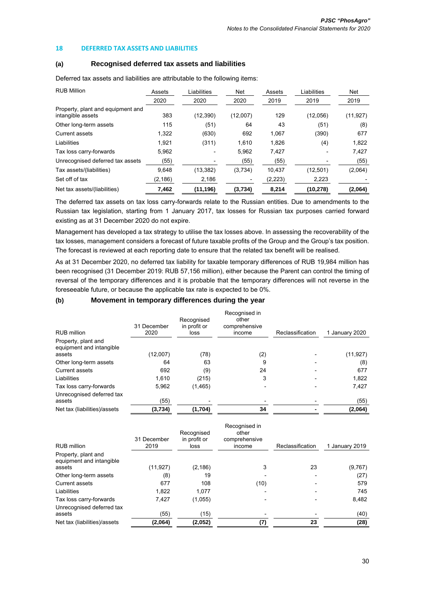#### **18 DEFERRED TAX ASSETS AND LIABILITIES**

#### **(a) Recognised deferred tax assets and liabilities**

| <b>RUB Million</b>                                     | Assets   | Liabilities | <b>Net</b> | Assets   | Liabilities | Net       |
|--------------------------------------------------------|----------|-------------|------------|----------|-------------|-----------|
|                                                        | 2020     | 2020        | 2020       | 2019     | 2019        | 2019      |
| Property, plant and equipment and<br>intangible assets | 383      | (12, 390)   | (12,007)   | 129      | (12,056)    | (11, 927) |
| Other long-term assets                                 | 115      | (51)        | 64         | 43       | (51)        | (8)       |
| Current assets                                         | 1,322    | (630)       | 692        | 1,067    | (390)       | 677       |
| Liabilities                                            | 1.921    | (311)       | 1,610      | 1,826    | (4)         | 1,822     |
| Tax loss carry-forwards                                | 5,962    |             | 5,962      | 7,427    |             | 7,427     |
| Unrecognised deferred tax assets                       | (55)     |             | (55)       | (55)     |             | (55)      |
| Tax assets/(liabilities)                               | 9.648    | (13, 382)   | (3,734)    | 10.437   | (12, 501)   | (2,064)   |
| Set off of tax                                         | (2, 186) | 2,186       |            | (2, 223) | 2,223       |           |
| Net tax assets/(liabilities)                           | 7,462    | (11,196)    | (3.734)    | 8,214    | (10, 278)   | (2,064)   |

Deferred tax assets and liabilities are attributable to the following items:

The deferred tax assets on tax loss carry-forwards relate to the Russian entities. Due to amendments to the Russian tax legislation, starting from 1 January 2017, tax losses for Russian tax purposes carried forward existing as at 31 December 2020 do not expire.

Management has developed a tax strategy to utilise the tax losses above. In assessing the recoverability of the tax losses, management considers a forecast of future taxable profits of the Group and the Group's tax position. The forecast is reviewed at each reporting date to ensure that the related tax benefit will be realised.

As at 31 December 2020, no deferred tax liability for taxable temporary differences of RUB 19,984 million has been recognised (31 December 2019: RUB 57,156 million), either because the Parent can control the timing of reversal of the temporary differences and it is probable that the temporary differences will not reverse in the foreseeable future, or because the applicable tax rate is expected to be 0%.

#### **(b) Movement in temporary differences during the year**

| <b>RUB</b> million                                        | 31 December<br>2020 | Recognised<br>in profit or<br>loss | Recognised in<br>other<br>comprehensive<br>income | Reclassification | 1 January 2020 |
|-----------------------------------------------------------|---------------------|------------------------------------|---------------------------------------------------|------------------|----------------|
| Property, plant and<br>equipment and intangible<br>assets | (12,007)            | (78)                               |                                                   |                  | (11, 927)      |
|                                                           |                     |                                    | (2)                                               |                  |                |
| Other long-term assets                                    | 64                  | 63                                 | 9                                                 |                  | (8)            |
| Current assets                                            | 692                 | (9)                                | 24                                                |                  | 677            |
| Liabilities                                               | 1,610               | (215)                              | 3                                                 |                  | 1,822          |
| Tax loss carry-forwards                                   | 5,962               | (1, 465)                           |                                                   |                  | 7,427          |
| Unrecognised deferred tax                                 |                     |                                    |                                                   |                  |                |
| assets                                                    | (55)                |                                    |                                                   |                  | (55)           |
| Net tax (liabilities)/assets                              | (3,734)             | (1,704)                            | 34                                                |                  | (2,064)        |

| Tax loss carry-forwards<br>Unrecognised deferred tax<br>assets | 7.427<br>(55)       | (1,055)<br>(15)                    |                                                   |                  | 8,482<br>(40)  |
|----------------------------------------------------------------|---------------------|------------------------------------|---------------------------------------------------|------------------|----------------|
| Liabilities                                                    | 1.822               | 1,077                              |                                                   |                  | 745            |
| <b>Current assets</b>                                          | 677                 | 108                                | (10)                                              |                  | 579            |
| Other long-term assets                                         | (8)                 | 19                                 |                                                   |                  | (27)           |
| Property, plant and<br>equipment and intangible<br>assets      | (11, 927)           | (2, 186)                           | 3                                                 | 23               | (9,767)        |
| <b>RUB</b> million                                             | 31 December<br>2019 | Recognised<br>in profit or<br>loss | Recognised in<br>other<br>comprehensive<br>income | Reclassification | 1 January 2019 |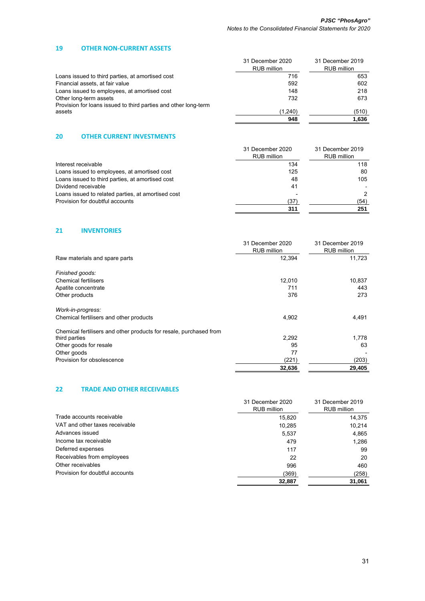#### **19 OTHER NON‐CURRENT ASSETS**

|                                                                 | 31 December 2020 | 31 December 2019 |
|-----------------------------------------------------------------|------------------|------------------|
|                                                                 | RUB million      | RUB million      |
| Loans issued to third parties, at amortised cost                | 716              | 653              |
| Financial assets, at fair value                                 | 592              | 602              |
| Loans issued to employees, at amortised cost                    | 148              | 218              |
| Other long-term assets                                          | 732              | 673              |
| Provision for loans issued to third parties and other long-term |                  |                  |
| assets                                                          | (1,240)          | (510)            |
|                                                                 | 948              | 1.636            |

# **20 OTHER CURRENT INVESTMENTS**

|                                                    | 31 December 2020   | 31 December 2019   |
|----------------------------------------------------|--------------------|--------------------|
|                                                    | <b>RUB million</b> | <b>RUB million</b> |
| Interest receivable                                | 134                | 118                |
| Loans issued to employees, at amortised cost       | 125                | 80                 |
| Loans issued to third parties, at amortised cost   | 48                 | 105                |
| Dividend receivable                                | 41                 |                    |
| Loans issued to related parties, at amortised cost |                    | $\mathcal{P}$      |
| Provision for doubtful accounts                    | (37)               | (54)               |
|                                                    | 311                | 251                |

#### **21 INVENTORIES**

|                                                                    | 31 December 2020   | 31 December 2019   |
|--------------------------------------------------------------------|--------------------|--------------------|
|                                                                    | <b>RUB million</b> | <b>RUB million</b> |
| Raw materials and spare parts                                      | 12,394             | 11,723             |
| Finished goods:                                                    |                    |                    |
| <b>Chemical fertilisers</b>                                        | 12,010             | 10,837             |
| Apatite concentrate                                                | 711                | 443                |
| Other products                                                     | 376                | 273                |
| Work-in-progress:                                                  |                    |                    |
| Chemical fertilisers and other products                            | 4,902              | 4,491              |
| Chemical fertilisers and other products for resale, purchased from |                    |                    |
| third parties                                                      | 2,292              | 1,778              |
| Other goods for resale                                             | 95                 | 63                 |
| Other goods                                                        | 77                 |                    |
| Provision for obsolescence                                         | (221)              | (203)              |
|                                                                    | 32,636             | 29,405             |

# **22 TRADE AND OTHER RECEIVABLES**

|                                 | 31 December 2020<br>RUB million | 31 December 2019<br>RUB million |
|---------------------------------|---------------------------------|---------------------------------|
| Trade accounts receivable       | 15,820                          | 14,375                          |
| VAT and other taxes receivable  | 10.285                          | 10.214                          |
| Advances issued                 | 5,537                           | 4.865                           |
| Income tax receivable           | 479                             | 1,286                           |
| Deferred expenses               | 117                             | 99                              |
| Receivables from employees      | 22                              | 20                              |
| Other receivables               | 996                             | 460                             |
| Provision for doubtful accounts | (369)                           | (258)                           |
|                                 | 32,887                          | 31,061                          |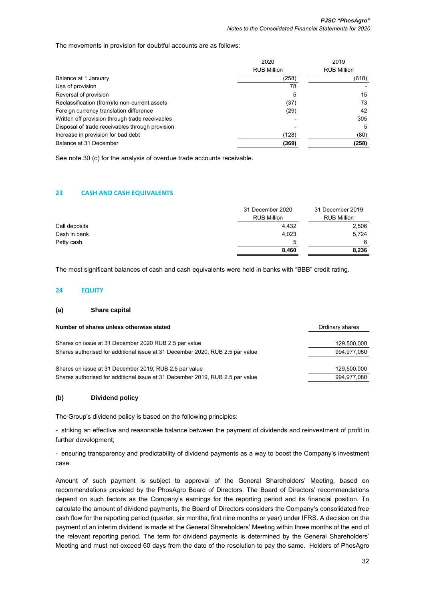The movements in provision for doubtful accounts are as follows:

|                                                 | 2020               | 2019               |
|-------------------------------------------------|--------------------|--------------------|
|                                                 | <b>RUB Million</b> | <b>RUB Million</b> |
| Balance at 1 January                            | (258)              | (618)              |
| Use of provision                                | 78                 |                    |
| Reversal of provision                           | 5                  | 15                 |
| Reclassification (from)/to non-current assets   | (37)               | 73                 |
| Foreign currency translation difference         | (29)               | 42                 |
| Written off provision through trade receivables |                    | 305                |
| Disposal of trade receivables through provision |                    | 5                  |
| Increase in provision for bad debt              | (128)              | (80)               |
| Balance at 31 December                          | (369)              | (258)              |

See note 30 (c) for the analysis of overdue trade accounts receivable.

#### **23 CASH AND CASH EQUIVALENTS**

|               | 31 December 2020   | 31 December 2019   |
|---------------|--------------------|--------------------|
|               | <b>RUB Million</b> | <b>RUB Million</b> |
| Call deposits | 4,432              | 2,506              |
| Cash in bank  | 4,023              | 5.724              |
| Petty cash    | 5                  | 6                  |
|               | 8,460              | 8,236              |

The most significant balances of cash and cash equivalents were held in banks with "BBB" credit rating.

#### **24 EQUITY**

#### **(a) Share capital**

| Number of shares unless otherwise stated                                      | Ordinary shares |
|-------------------------------------------------------------------------------|-----------------|
| Shares on issue at 31 December 2020 RUB 2.5 par value                         | 129,500,000     |
| Shares authorised for additional issue at 31 December 2020, RUB 2.5 par value | 994,977,080     |
| Shares on issue at 31 December 2019, RUB 2.5 par value                        | 129,500,000     |
| Shares authorised for additional issue at 31 December 2019, RUB 2.5 par value | 994,977,080     |

#### **(b) Dividend policy**

The Group's dividend policy is based on the following principles:

- striking an effective and reasonable balance between the payment of dividends and reinvestment of profit in further development;

- ensuring transparency and predictability of dividend payments as a way to boost the Company's investment case.

Amount of such payment is subject to approval of the General Shareholders' Meeting, based on recommendations provided by the PhosAgro Board of Directors. The Board of Directors' recommendations depend on such factors as the Company's earnings for the reporting period and its financial position. To calculate the amount of dividend payments, the Board of Directors considers the Company's consolidated free cash flow for the reporting period (quarter, six months, first nine months or year) under IFRS. A decision on the payment of an interim dividend is made at the General Shareholders' Meeting within three months of the end of the relevant reporting period. The term for dividend payments is determined by the General Shareholders' Meeting and must not exceed 60 days from the date of the resolution to pay the same. Holders of PhosAgro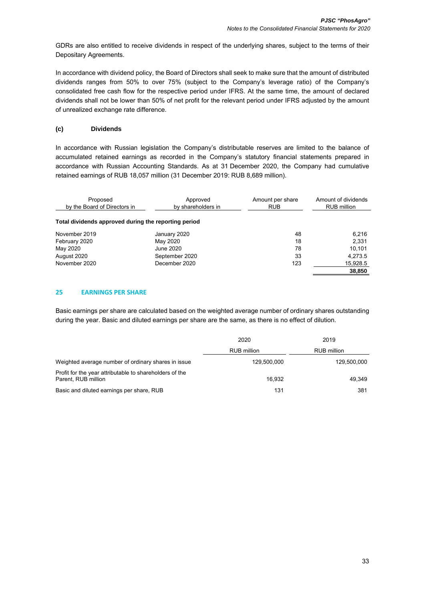GDRs are also entitled to receive dividends in respect of the underlying shares, subject to the terms of their Depositary Agreements.

In accordance with dividend policy, the Board of Directors shall seek to make sure that the amount of distributed dividends ranges from 50% to over 75% (subject to the Company's leverage ratio) of the Company's consolidated free cash flow for the respective period under IFRS. At the same time, the amount of declared dividends shall not be lower than 50% of net profit for the relevant period under IFRS adjusted by the amount of unrealized exchange rate difference.

#### **(c) Dividends**

In accordance with Russian legislation the Company's distributable reserves are limited to the balance of accumulated retained earnings as recorded in the Company's statutory financial statements prepared in accordance with Russian Accounting Standards. As at 31 December 2020, the Company had cumulative retained earnings of RUB 18,057 million (31 December 2019: RUB 8,689 million).

| Proposed<br>by the Board of Directors in             | Approved<br>by shareholders in | Amount per share<br><b>RUB</b> | Amount of dividends<br><b>RUB million</b> |
|------------------------------------------------------|--------------------------------|--------------------------------|-------------------------------------------|
| Total dividends approved during the reporting period |                                |                                |                                           |
| November 2019                                        | January 2020                   | 48                             | 6.216                                     |
| February 2020                                        | May 2020                       | 18                             | 2,331                                     |
| May 2020                                             | June 2020                      | 78                             | 10,101                                    |
| August 2020                                          | September 2020                 | 33                             | 4,273.5                                   |
| November 2020                                        | December 2020                  | 123                            | 15,928.5                                  |
|                                                      |                                |                                | 38,850                                    |

# **25 EARNINGS PER SHARE**

Basic earnings per share are calculated based on the weighted average number of ordinary shares outstanding during the year. Basic and diluted earnings per share are the same, as there is no effect of dilution.

|                                                                                | 2020               | 2019               |  |
|--------------------------------------------------------------------------------|--------------------|--------------------|--|
|                                                                                | <b>RUB million</b> | <b>RUB million</b> |  |
| Weighted average number of ordinary shares in issue                            | 129.500.000        | 129.500.000        |  |
| Profit for the year attributable to shareholders of the<br>Parent. RUB million | 16.932             | 49.349             |  |
| Basic and diluted earnings per share, RUB                                      | 131                | 381                |  |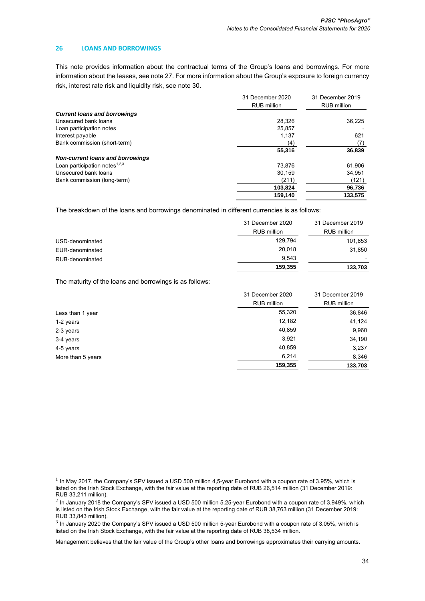#### **26 LOANS AND BORROWINGS**

This note provides information about the contractual terms of the Group's loans and borrowings. For more information about the leases, see note 27. For more information about the Group's exposure to foreign currency risk, interest rate risk and liquidity risk, see note 30.

|                                           | 31 December 2020   | 31 December 2019   |
|-------------------------------------------|--------------------|--------------------|
|                                           | <b>RUB</b> million | <b>RUB million</b> |
| <b>Current loans and borrowings</b>       |                    |                    |
| Unsecured bank loans                      | 28,326             | 36,225             |
| Loan participation notes                  | 25.857             |                    |
| Interest payable                          | 1.137              | 621                |
| Bank commission (short-term)              | (4)                | 7)                 |
|                                           | 55,316             | 36,839             |
| <b>Non-current loans and borrowings</b>   |                    |                    |
| Loan participation notes <sup>1,2,3</sup> | 73.876             | 61,906             |
| Unsecured bank loans                      | 30,159             | 34.951             |
| Bank commission (long-term)               | (211)              | (121)              |
|                                           | 103.824            | 96,736             |
|                                           | 159,140            | 133.575            |

The breakdown of the loans and borrowings denominated in different currencies is as follows:

|                 | 31 December 2020 | 31 December 2019 |
|-----------------|------------------|------------------|
|                 | RUB million      | RUB million      |
| USD-denominated | 129.794          | 101,853          |
| EUR-denominated | 20.018           | 31.850           |
| RUB-denominated | 9.543            |                  |
|                 | 159,355          | 133,703          |

The maturity of the loans and borrowings is as follows:

|                   | 31 December 2020   | 31 December 2019   |
|-------------------|--------------------|--------------------|
|                   | <b>RUB</b> million | <b>RUB million</b> |
| Less than 1 year  | 55,320             | 36,846             |
| 1-2 years         | 12,182             | 41,124             |
| 2-3 years         | 40,859             | 9,960              |
| 3-4 years         | 3,921              | 34,190             |
| 4-5 years         | 40,859             | 3,237              |
| More than 5 years | 6,214              | 8,346              |
|                   | 159,355            | 133,703            |

 $1$  In May 2017, the Company's SPV issued a USD 500 million 4,5-year Eurobond with a coupon rate of 3.95%, which is listed on the Irish Stock Exchange, with the fair value at the reporting date of RUB 26,514 million (31 December 2019: RUB 33,211 million).

 $^2$  In January 2018 the Company's SPV issued a USD 500 million 5,25-year Eurobond with a coupon rate of 3.949%, which is listed on the Irish Stock Exchange, with the fair value at the reporting date of RUB 38,763 million (31 December 2019: RUB 33,843 million).

 $3$  In January 2020 the Company's SPV issued a USD 500 million 5-year Eurobond with a coupon rate of 3.05%, which is listed on the Irish Stock Exchange, with the fair value at the reporting date of RUB 38,534 million.

Management believes that the fair value of the Group's other loans and borrowings approximates their carrying amounts.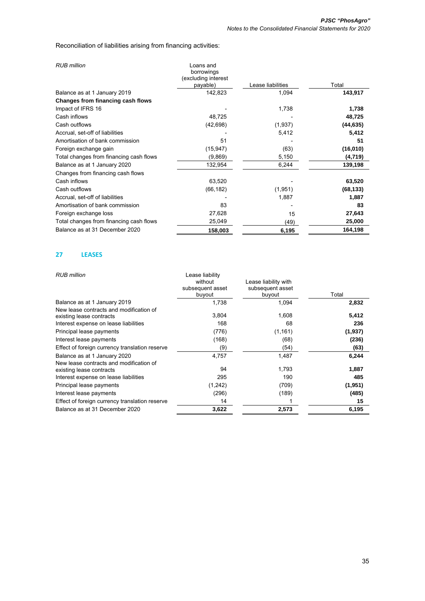Reconciliation of liabilities arising from financing activities:

| <b>RUB</b> million                      | Loans and<br>borrowings<br>(excluding interest<br>payable) | Lease liabilities | Total     |
|-----------------------------------------|------------------------------------------------------------|-------------------|-----------|
| Balance as at 1 January 2019            | 142,823                                                    | 1,094             | 143,917   |
| Changes from financing cash flows       |                                                            |                   |           |
| Impact of IFRS 16                       |                                                            | 1,738             | 1,738     |
| Cash inflows                            | 48,725                                                     |                   | 48,725    |
| Cash outflows                           | (42, 698)                                                  | (1,937)           | (44, 635) |
| Accrual, set-off of liabilities         |                                                            | 5,412             | 5,412     |
| Amortisation of bank commission         | 51                                                         |                   | 51        |
| Foreign exchange gain                   | (15, 947)                                                  | (63)              | (16,010)  |
| Total changes from financing cash flows | (9,869)                                                    | 5,150             | (4,719)   |
| Balance as at 1 January 2020            | 132,954                                                    | 6,244             | 139,198   |
| Changes from financing cash flows       |                                                            |                   |           |
| Cash inflows                            | 63,520                                                     |                   | 63,520    |
| Cash outflows                           | (66, 182)                                                  | (1,951)           | (68, 133) |
| Accrual, set-off of liabilities         |                                                            | 1,887             | 1,887     |
| Amortisation of bank commission         | 83                                                         |                   | 83        |
| Foreign exchange loss                   | 27,628                                                     | 15                | 27,643    |
| Total changes from financing cash flows | 25,049                                                     | (49)              | 25,000    |
| Balance as at 31 December 2020          | 158,003                                                    | 6,195             | 164,198   |

#### **27 LEASES**

| <b>RUB</b> million                             | Lease liability            |                      |         |
|------------------------------------------------|----------------------------|----------------------|---------|
|                                                | without                    | Lease liability with |         |
|                                                | subsequent asset<br>buyout | subsequent asset     | Total   |
|                                                |                            | buyout               |         |
| Balance as at 1 January 2019                   | 1,738                      | 1,094                | 2,832   |
| New lease contracts and modification of        |                            |                      |         |
| existing lease contracts                       | 3,804                      | 1,608                | 5,412   |
| Interest expense on lease liabilities          | 168                        | 68                   | 236     |
| Principal lease payments                       | (776)                      | (1, 161)             | (1,937) |
| Interest lease payments                        | (168)                      | (68)                 | (236)   |
| Effect of foreign currency translation reserve | (9)                        | (54)                 | (63)    |
| Balance as at 1 January 2020                   | 4,757                      | 1,487                | 6,244   |
| New lease contracts and modification of        |                            |                      |         |
| existing lease contracts                       | 94                         | 1,793                | 1,887   |
| Interest expense on lease liabilities          | 295                        | 190                  | 485     |
| Principal lease payments                       | (1,242)                    | (709)                | (1,951) |
| Interest lease payments                        | (296)                      | (189)                | (485)   |
| Effect of foreign currency translation reserve | 14                         |                      | 15      |
| Balance as at 31 December 2020                 | 3,622                      | 2,573                | 6,195   |
|                                                |                            |                      |         |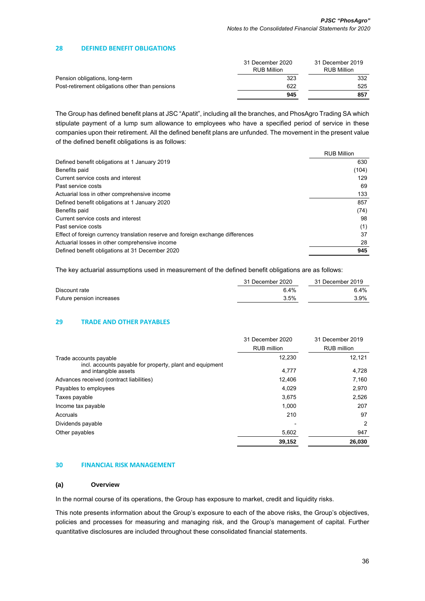#### **28 DEFINED BENEFIT OBLIGATIONS**

|                                                 | 31 December 2020<br><b>RUB Million</b> | 31 December 2019<br><b>RUB Million</b> |
|-------------------------------------------------|----------------------------------------|----------------------------------------|
| Pension obligations, long-term                  | 323                                    | 332                                    |
| Post-retirement obligations other than pensions | 622                                    | 525                                    |
|                                                 | 945                                    | 857                                    |

The Group has defined benefit plans at JSC "Apatit", including all the branches, and PhosAgro Trading SA which stipulate payment of a lump sum allowance to employees who have a specified period of service in these companies upon their retirement. All the defined benefit plans are unfunded. The movement in the present value of the defined benefit obligations is as follows:

|                                                                                 | <b>RUB Million</b> |
|---------------------------------------------------------------------------------|--------------------|
| Defined benefit obligations at 1 January 2019                                   | 630                |
| Benefits paid                                                                   | (104)              |
| Current service costs and interest                                              | 129                |
| Past service costs                                                              | 69                 |
| Actuarial loss in other comprehensive income                                    | 133                |
| Defined benefit obligations at 1 January 2020                                   | 857                |
| Benefits paid                                                                   | (74)               |
| Current service costs and interest                                              | 98                 |
| Past service costs                                                              | (1)                |
| Effect of foreign currency translation reserve and foreign exchange differences | 37                 |
| Actuarial losses in other comprehensive income                                  | 28                 |
| Defined benefit obligations at 31 December 2020                                 | 945                |

The key actuarial assumptions used in measurement of the defined benefit obligations are as follows:

|                          | 31 December 2020 | 31 December 2019 |
|--------------------------|------------------|------------------|
| Discount rate            | 6.4%             | 6.4%             |
| Future pension increases | 3.5%             | $3.9\%$          |

#### **29 TRADE AND OTHER PAYABLES**

|                                                                                   | 31 December 2020   | 31 December 2019   |
|-----------------------------------------------------------------------------------|--------------------|--------------------|
|                                                                                   | <b>RUB</b> million | <b>RUB million</b> |
| Trade accounts payable                                                            | 12.230             | 12.121             |
| incl. accounts payable for property, plant and equipment<br>and intangible assets | 4.777              | 4,728              |
| Advances received (contract liabilities)                                          | 12,406             | 7,160              |
| Payables to employees                                                             | 4,029              | 2,970              |
| Taxes payable                                                                     | 3.675              | 2,526              |
| Income tax payable                                                                | 1.000              | 207                |
| Accruals                                                                          | 210                | 97                 |
| Dividends payable                                                                 |                    | 2                  |
| Other payables                                                                    | 5,602              | 947                |
|                                                                                   | 39,152             | 26.030             |

#### **30 FINANCIAL RISK MANAGEMENT**

#### **(a) Overview**

In the normal course of its operations, the Group has exposure to market, credit and liquidity risks.

This note presents information about the Group's exposure to each of the above risks, the Group's objectives, policies and processes for measuring and managing risk, and the Group's management of capital. Further quantitative disclosures are included throughout these consolidated financial statements.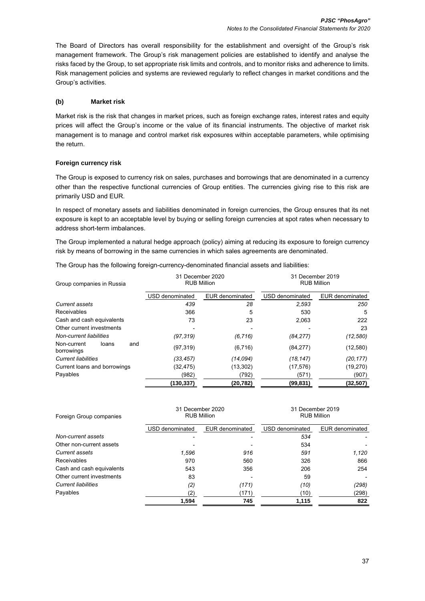The Board of Directors has overall responsibility for the establishment and oversight of the Group's risk management framework. The Group's risk management policies are established to identify and analyse the risks faced by the Group, to set appropriate risk limits and controls, and to monitor risks and adherence to limits. Risk management policies and systems are reviewed regularly to reflect changes in market conditions and the Group's activities.

#### **(b) Market risk**

Market risk is the risk that changes in market prices, such as foreign exchange rates, interest rates and equity prices will affect the Group's income or the value of its financial instruments. The objective of market risk management is to manage and control market risk exposures within acceptable parameters, while optimising the return.

# **Foreign currency risk**

The Group is exposed to currency risk on sales, purchases and borrowings that are denominated in a currency other than the respective functional currencies of Group entities. The currencies giving rise to this risk are primarily USD and EUR.

In respect of monetary assets and liabilities denominated in foreign currencies, the Group ensures that its net exposure is kept to an acceptable level by buying or selling foreign currencies at spot rates when necessary to address short-term imbalances.

The Group implemented a natural hedge approach (policy) aiming at reducing its exposure to foreign currency risk by means of borrowing in the same currencies in which sales agreements are denominated.

The Group has the following foreign-currency-denominated financial assets and liabilities:

| Group companies in Russia                 | 31 December 2020<br><b>RUB Million</b> |                        | 31 December 2019<br><b>RUB Million</b> |                 |  |
|-------------------------------------------|----------------------------------------|------------------------|----------------------------------------|-----------------|--|
|                                           | USD denominated                        | <b>EUR</b> denominated | USD denominated                        | EUR denominated |  |
| Current assets                            | 439                                    | 28                     | 2,593                                  | 250             |  |
| Receivables                               | 366                                    | 5                      | 530                                    | 5               |  |
| Cash and cash equivalents                 | 73                                     | 23                     | 2,063                                  | 222             |  |
| Other current investments                 |                                        |                        |                                        | 23              |  |
| Non-current liabilities                   | (97, 319)                              | (6, 716)               | (84, 277)                              | (12,580)        |  |
| Non-current<br>and<br>loans<br>borrowings | (97, 319)                              | (6,716)                | (84, 277)                              | (12,580)        |  |
| <b>Current liabilities</b>                | (33,457)                               | (14,094)               | (18, 147)                              | (20,177)        |  |
| Current loans and borrowings              | (32,475)                               | (13, 302)              | (17, 576)                              | (19,270)        |  |
| Payables                                  | (982)                                  | (792)                  | (571)                                  | (907)           |  |
|                                           | (130,337)                              | (20,782)               | (99, 831)                              | (32,507)        |  |

| Foreign Group companies    |                 | 31 December 2020<br><b>RUB Million</b> |                 | 31 December 2019<br><b>RUB Million</b> |
|----------------------------|-----------------|----------------------------------------|-----------------|----------------------------------------|
|                            | USD denominated | <b>EUR denominated</b>                 | USD denominated | EUR denominated                        |
| Non-current assets         |                 |                                        | 534             |                                        |
| Other non-current assets   |                 |                                        | 534             |                                        |
| Current assets             | 1.596           | 916                                    | 591             | 1,120                                  |
| <b>Receivables</b>         | 970             | 560                                    | 326             | 866                                    |
| Cash and cash equivalents  | 543             | 356                                    | 206             | 254                                    |
| Other current investments  | 83              |                                        | 59              |                                        |
| <b>Current liabilities</b> | (2)             | (171)                                  | (10)            | (298)                                  |
| Payables                   | (2)             | (171)                                  | (10)            | (298)                                  |
|                            | 1.594           | 745                                    | 1,115           | 822                                    |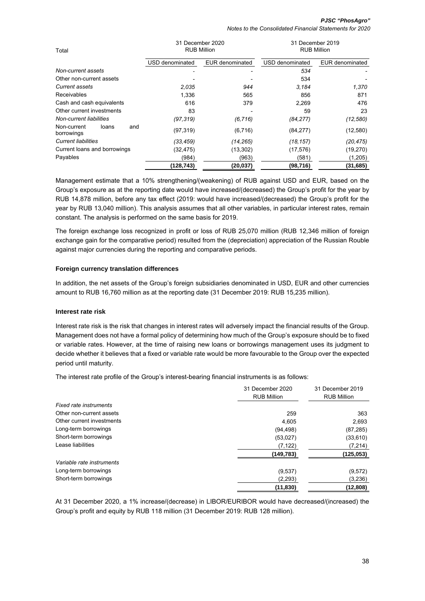| Total                                     |                 | 31 December 2020<br><b>RUB Million</b> | 31 December 2019<br><b>RUB Million</b> |                 |  |
|-------------------------------------------|-----------------|----------------------------------------|----------------------------------------|-----------------|--|
|                                           | USD denominated | <b>EUR denominated</b>                 | USD denominated                        | EUR denominated |  |
| Non-current assets                        |                 |                                        | 534                                    |                 |  |
| Other non-current assets                  |                 |                                        | 534                                    |                 |  |
| <b>Current assets</b>                     | 2,035           | 944                                    | 3,184                                  | 1,370           |  |
| <b>Receivables</b>                        | 1,336           | 565                                    | 856                                    | 871             |  |
| Cash and cash equivalents                 | 616             | 379                                    | 2,269                                  | 476             |  |
| Other current investments                 | 83              |                                        | 59                                     | 23              |  |
| Non-current liabilities                   | (97, 319)       | (6, 716)                               | (84, 277)                              | (12, 580)       |  |
| Non-current<br>loans<br>and<br>borrowings | (97, 319)       | (6, 716)                               | (84, 277)                              | (12,580)        |  |
| <b>Current liabilities</b>                | (33, 459)       | (14, 265)                              | (18, 157)                              | (20, 475)       |  |
| Current loans and borrowings              | (32, 475)       | (13, 302)                              | (17, 576)                              | (19,270)        |  |
| Payables                                  | (984)           | (963)                                  | (581)                                  | (1,205)         |  |
|                                           | (128,743)       | (20, 037)                              | (98, 716)                              | (31, 685)       |  |

Management estimate that a 10% strengthening/(weakening) of RUB against USD and EUR, based on the Group's exposure as at the reporting date would have increased/(decreased) the Group's profit for the year by RUB 14,878 million, before any tax effect (2019: would have increased/(decreased) the Group's profit for the year by RUB 13,040 million). This analysis assumes that all other variables, in particular interest rates, remain constant. The analysis is performed on the same basis for 2019.

The foreign exchange loss recognized in profit or loss of RUB 25,070 million (RUB 12,346 million of foreign exchange gain for the comparative period) resulted from the (depreciation) appreciation of the Russian Rouble against major currencies during the reporting and comparative periods.

#### **Foreign currency translation differences**

In addition, the net assets of the Group's foreign subsidiaries denominated in USD, EUR and other currencies amount to RUB 16,760 million as at the reporting date (31 December 2019: RUB 15,235 million).

#### **Interest rate risk**

Interest rate risk is the risk that changes in interest rates will adversely impact the financial results of the Group. Management does not have a formal policy of determining how much of the Group's exposure should be to fixed or variable rates. However, at the time of raising new loans or borrowings management uses its judgment to decide whether it believes that a fixed or variable rate would be more favourable to the Group over the expected period until maturity.

The interest rate profile of the Group's interest-bearing financial instruments is as follows:

|                           | 31 December 2020<br><b>RUB Million</b> | 31 December 2019<br><b>RUB Million</b> |
|---------------------------|----------------------------------------|----------------------------------------|
| Fixed rate instruments    |                                        |                                        |
| Other non-current assets  | 259                                    | 363                                    |
| Other current investments | 4.605                                  | 2.693                                  |
| Long-term borrowings      | (94, 498)                              | (87, 285)                              |
| Short-term borrowings     | (53,027)                               | (33,610)                               |
| Lease liabilities         | (7, 122)                               | (7, 214)                               |
|                           | (149,783)                              | (125, 053)                             |
| Variable rate instruments |                                        |                                        |
| Long-term borrowings      | (9,537)                                | (9, 572)                               |
| Short-term borrowings     | (2, 293)                               | (3,236)                                |
|                           | (11,830)                               | (12, 808)                              |

At 31 December 2020, a 1% increase/(decrease) in LIBOR/EURIBOR would have decreased/(increased) the Group's profit and equity by RUB 118 million (31 December 2019: RUB 128 million).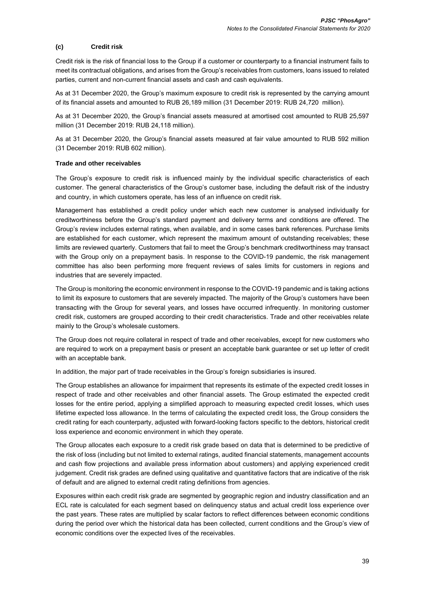#### **(c) Credit risk**

Credit risk is the risk of financial loss to the Group if a customer or counterparty to a financial instrument fails to meet its contractual obligations, and arises from the Group's receivables from customers, loans issued to related parties, current and non-current financial assets and cash and cash equivalents.

As at 31 December 2020, the Group's maximum exposure to credit risk is represented by the carrying amount of its financial assets and amounted to RUB 26,189 million (31 December 2019: RUB 24,720 million).

As at 31 December 2020, the Group's financial assets measured at amortised cost amounted to RUB 25,597 million (31 December 2019: RUB 24,118 million).

As at 31 December 2020, the Group's financial assets measured at fair value amounted to RUB 592 million (31 December 2019: RUB 602 million).

#### **Trade and other receivables**

The Group's exposure to credit risk is influenced mainly by the individual specific characteristics of each customer. The general characteristics of the Group's customer base, including the default risk of the industry and country, in which customers operate, has less of an influence on credit risk.

Management has established a credit policy under which each new customer is analysed individually for creditworthiness before the Group's standard payment and delivery terms and conditions are offered. The Group's review includes external ratings, when available, and in some cases bank references. Purchase limits are established for each customer, which represent the maximum amount of outstanding receivables; these limits are reviewed quarterly. Customers that fail to meet the Group's benchmark creditworthiness may transact with the Group only on a prepayment basis. In response to the COVID-19 pandemic, the risk management committee has also been performing more frequent reviews of sales limits for customers in regions and industries that are severely impacted.

The Group is monitoring the economic environment in response to the COVID-19 pandemic and is taking actions to limit its exposure to customers that are severely impacted. The majority of the Group's customers have been transacting with the Group for several years, and losses have occurred infrequently. In monitoring customer credit risk, customers are grouped according to their credit characteristics. Trade and other receivables relate mainly to the Group's wholesale customers.

The Group does not require collateral in respect of trade and other receivables, except for new customers who are required to work on a prepayment basis or present an acceptable bank guarantee or set up letter of credit with an acceptable bank.

In addition, the major part of trade receivables in the Group's foreign subsidiaries is insured.

The Group establishes an allowance for impairment that represents its estimate of the expected credit losses in respect of trade and other receivables and other financial assets. The Group estimated the expected credit losses for the entire period, applying a simplified approach to measuring expected credit losses, which uses lifetime expected loss allowance. In the terms of calculating the expected credit loss, the Group considers the credit rating for each counterparty, adjusted with forward-looking factors specific to the debtors, historical credit loss experience and economic environment in which they operate.

The Group allocates each exposure to a credit risk grade based on data that is determined to be predictive of the risk of loss (including but not limited to external ratings, audited financial statements, management accounts and cash flow projections and available press information about customers) and applying experienced credit judgement. Credit risk grades are defined using qualitative and quantitative factors that are indicative of the risk of default and are aligned to external credit rating definitions from agencies.

Exposures within each credit risk grade are segmented by geographic region and industry classification and an ECL rate is calculated for each segment based on delinquency status and actual credit loss experience over the past years. These rates are multiplied by scalar factors to reflect differences between economic conditions during the period over which the historical data has been collected, current conditions and the Group's view of economic conditions over the expected lives of the receivables.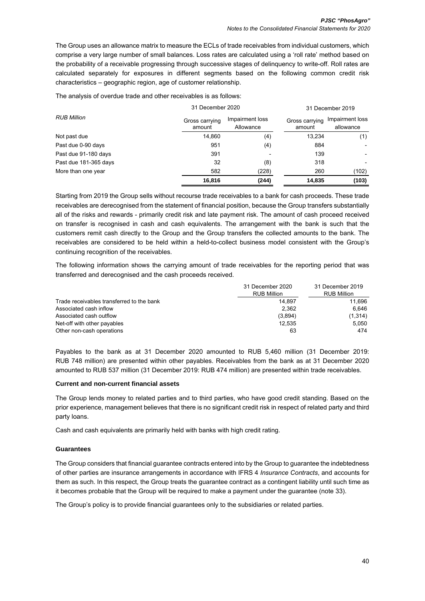The Group uses an allowance matrix to measure the ECLs of trade receivables from individual customers, which comprise a very large number of small balances. Loss rates are calculated using a 'roll rate' method based on the probability of a receivable progressing through successive stages of delinquency to write-off. Roll rates are calculated separately for exposures in different segments based on the following common credit risk characteristics – geographic region, age of customer relationship.

The analysis of overdue trade and other receivables is as follows:

|                       | 31 December 2020         | 31 December 2019             |                          |                              |
|-----------------------|--------------------------|------------------------------|--------------------------|------------------------------|
| <b>RUB Million</b>    | Gross carrying<br>amount | Impairment loss<br>Allowance | Gross carrying<br>amount | Impairment loss<br>allowance |
| Not past due          | 14.860                   | (4)                          | 13,234                   | (1)                          |
| Past due 0-90 days    | 951                      | (4)                          | 884                      |                              |
| Past due 91-180 days  | 391                      |                              | 139                      |                              |
| Past due 181-365 days | 32                       | (8)                          | 318                      |                              |
| More than one year    | 582                      | (228)                        | 260                      | (102)                        |
|                       | 16.816                   | (244)                        | 14.835                   | (103)                        |

Starting from 2019 the Group sells without recourse trade receivables to a bank for cash proceeds. These trade receivables are derecognised from the statement of financial position, because the Group transfers substantially all of the risks and rewards - primarily credit risk and late payment risk. The amount of cash proceed received on transfer is recognised in cash and cash equivalents. The arrangement with the bank is such that the customers remit cash directly to the Group and the Group transfers the collected amounts to the bank. The receivables are considered to be held within a held-to-collect business model consistent with the Group's continuing recognition of the receivables.

The following information shows the carrying amount of trade receivables for the reporting period that was transferred and derecognised and the cash proceeds received.

|                                           | 31 December 2020<br>RUB Million | 31 December 2019<br><b>RUB Million</b> |
|-------------------------------------------|---------------------------------|----------------------------------------|
| Trade receivables transferred to the bank | 14.897                          | 11.696                                 |
| Associated cash inflow                    | 2.362                           | 6.646                                  |
| Associated cash outflow                   | (3,894)                         | (1,314)                                |
| Net-off with other payables               | 12.535                          | 5.050                                  |
| Other non-cash operations                 | 63                              | 474                                    |

Payables to the bank as at 31 December 2020 amounted to RUB 5,460 million (31 December 2019: RUB 748 million) are presented within other payables. Receivables from the bank as at 31 December 2020 amounted to RUB 537 million (31 December 2019: RUB 474 million) are presented within trade receivables.

#### **Current and non-current financial assets**

The Group lends money to related parties and to third parties, who have good credit standing. Based on the prior experience, management believes that there is no significant credit risk in respect of related party and third party loans.

Cash and cash equivalents are primarily held with banks with high credit rating.

#### **Guarantees**

The Group considers that financial guarantee contracts entered into by the Group to guarantee the indebtedness of other parties are insurance arrangements in accordance with IFRS 4 *Insurance Contracts*, and accounts for them as such. In this respect, the Group treats the guarantee contract as a contingent liability until such time as it becomes probable that the Group will be required to make a payment under the guarantee (note 33).

The Group's policy is to provide financial guarantees only to the subsidiaries or related parties.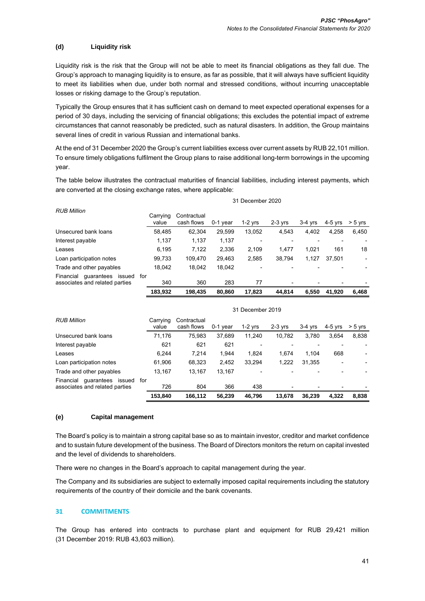#### **(d) Liquidity risk**

Liquidity risk is the risk that the Group will not be able to meet its financial obligations as they fall due. The Group's approach to managing liquidity is to ensure, as far as possible, that it will always have sufficient liquidity to meet its liabilities when due, under both normal and stressed conditions, without incurring unacceptable losses or risking damage to the Group's reputation.

Typically the Group ensures that it has sufficient cash on demand to meet expected operational expenses for a period of 30 days, including the servicing of financial obligations; this excludes the potential impact of extreme circumstances that cannot reasonably be predicted, such as natural disasters. In addition, the Group maintains several lines of credit in various Russian and international banks.

At the end of 31 December 2020 the Group's current liabilities excess over current assets by RUB 22,101 million. To ensure timely obligations fulfilment the Group plans to raise additional long-term borrowings in the upcoming year.

The table below illustrates the contractual maturities of financial liabilities, including interest payments, which are converted at the closing exchange rates, where applicable:

|                                                                         |                   |                           |            | 31 December 2020 |           |           |           |           |
|-------------------------------------------------------------------------|-------------------|---------------------------|------------|------------------|-----------|-----------|-----------|-----------|
| <b>RUB Million</b>                                                      | Carrying<br>value | Contractual<br>cash flows | $0-1$ year | $1-2$ yrs        | $2-3$ yrs | $3-4$ vrs | $4-5$ yrs | $> 5$ yrs |
| Unsecured bank loans                                                    | 58,485            | 62.304                    | 29,599     | 13.052           | 4.543     | 4.402     | 4.258     | 6,450     |
| Interest payable                                                        | 1.137             | 1.137                     | 1,137      |                  |           |           |           |           |
| Leases                                                                  | 6,195             | 7.122                     | 2.336      | 2.109            | 1.477     | 1.021     | 161       | 18        |
| Loan participation notes                                                | 99.733            | 109.470                   | 29.463     | 2.585            | 38.794    | 1.127     | 37.501    |           |
| Trade and other payables                                                | 18.042            | 18.042                    | 18.042     |                  |           |           |           |           |
| quarantees issued<br>Financial<br>for<br>associates and related parties | 340               | 360                       | 283        | 77               |           |           |           |           |
|                                                                         | 183,932           | 198,435                   | 80,860     | 17.823           | 44.814    | 6.550     | 41.920    | 6,468     |

|                                                                      |                   |                           |            | 31 December 2019 |           |           |                          |           |
|----------------------------------------------------------------------|-------------------|---------------------------|------------|------------------|-----------|-----------|--------------------------|-----------|
| <b>RUB Million</b>                                                   | Carrying<br>value | Contractual<br>cash flows | $0-1$ vear | $1-2$ yrs        | $2-3$ yrs | $3-4$ vrs | $4-5$ yrs                | $> 5$ yrs |
| Unsecured bank loans                                                 | 71.176            | 75.983                    | 37.689     | 11.240           | 10.782    | 3,780     | 3.654                    | 8,838     |
| Interest payable                                                     | 621               | 621                       | 621        |                  |           |           |                          |           |
| Leases                                                               | 6.244             | 7.214                     | 1.944      | 1.824            | 1.674     | 1.104     | 668                      |           |
| Loan participation notes                                             | 61,906            | 68,323                    | 2,452      | 33.294           | 1,222     | 31,355    | $\overline{\phantom{0}}$ |           |
| Trade and other payables                                             | 13.167            | 13.167                    | 13,167     |                  |           |           |                          |           |
| quarantees issued for<br>Financial<br>associates and related parties | 726               | 804                       | 366        | 438              | ٠         |           |                          |           |
|                                                                      | 153.840           | 166.112                   | 56.239     | 46.796           | 13.678    | 36.239    | 4.322                    | 8.838     |

#### **(e) Capital management**

The Board's policy is to maintain a strong capital base so as to maintain investor, creditor and market confidence and to sustain future development of the business. The Board of Directors monitors the return on capital invested and the level of dividends to shareholders.

There were no changes in the Board's approach to capital management during the year.

The Company and its subsidiaries are subject to externally imposed capital requirements including the statutory requirements of the country of their domicile and the bank covenants.

#### **31 COMMITMENTS**

The Group has entered into contracts to purchase plant and equipment for RUB 29,421 million (31 December 2019: RUB 43,603 million).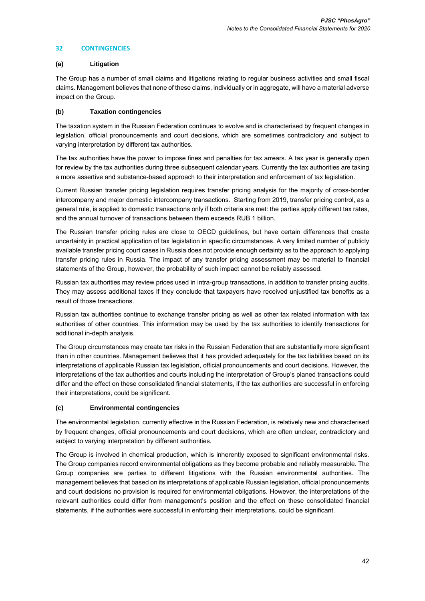#### **32 CONTINGENCIES**

#### **(a) Litigation**

The Group has a number of small claims and litigations relating to regular business activities and small fiscal claims. Management believes that none of these claims, individually or in aggregate, will have a material adverse impact on the Group.

# **(b) Taxation contingencies**

The taxation system in the Russian Federation continues to evolve and is characterised by frequent changes in legislation, official pronouncements and court decisions, which are sometimes contradictory and subject to varying interpretation by different tax authorities.

The tax authorities have the power to impose fines and penalties for tax arrears. A tax year is generally open for review by the tax authorities during three subsequent calendar years. Currently the tax authorities are taking a more assertive and substance-based approach to their interpretation and enforcement of tax legislation.

Current Russian transfer pricing legislation requires transfer pricing analysis for the majority of cross-border intercompany and major domestic intercompany transactions. Starting from 2019, transfer pricing control, as a general rule, is applied to domestic transactions only if both criteria are met: the parties apply different tax rates, and the annual turnover of transactions between them exceeds RUB 1 billion.

The Russian transfer pricing rules are close to OECD guidelines, but have certain differences that create uncertainty in practical application of tax legislation in specific circumstances. A very limited number of publicly available transfer pricing court cases in Russia does not provide enough certainty as to the approach to applying transfer pricing rules in Russia. The impact of any transfer pricing assessment may be material to financial statements of the Group, however, the probability of such impact cannot be reliably assessed.

Russian tax authorities may review prices used in intra-group transactions, in addition to transfer pricing audits. They may assess additional taxes if they conclude that taxpayers have received unjustified tax benefits as a result of those transactions.

Russian tax authorities continue to exchange transfer pricing as well as other tax related information with tax authorities of other countries. This information may be used by the tax authorities to identify transactions for additional in-depth analysis.

The Group circumstances may create tax risks in the Russian Federation that are substantially more significant than in other countries. Management believes that it has provided adequately for the tax liabilities based on its interpretations of applicable Russian tax legislation, official pronouncements and court decisions. However, the interpretations of the tax authorities and courts including the interpretation of Group's planed transactions could differ and the effect on these consolidated financial statements, if the tax authorities are successful in enforcing their interpretations, could be significant.

# **(c) Environmental contingencies**

The environmental legislation, currently effective in the Russian Federation, is relatively new and characterised by frequent changes, official pronouncements and court decisions, which are often unclear, contradictory and subject to varying interpretation by different authorities.

The Group is involved in chemical production, which is inherently exposed to significant environmental risks. The Group companies record environmental obligations as they become probable and reliably measurable. The Group companies are parties to different litigations with the Russian environmental authorities. The management believes that based on its interpretations of applicable Russian legislation, official pronouncements and court decisions no provision is required for environmental obligations. However, the interpretations of the relevant authorities could differ from management's position and the effect on these consolidated financial statements, if the authorities were successful in enforcing their interpretations, could be significant.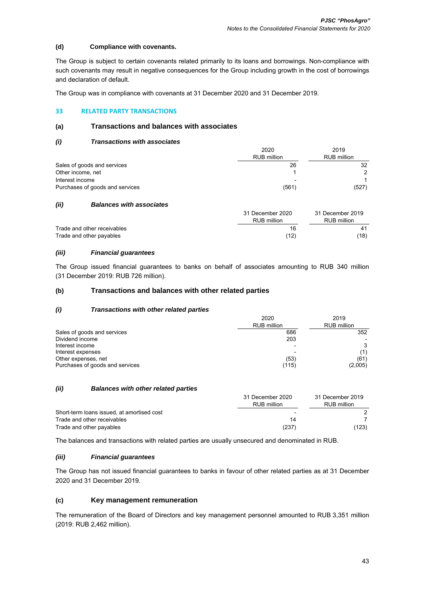#### **(d) Compliance with covenants.**

The Group is subject to certain covenants related primarily to its loans and borrowings. Non-compliance with such covenants may result in negative consequences for the Group including growth in the cost of borrowings and declaration of default.

The Group was in compliance with covenants at 31 December 2020 and 31 December 2019.

#### **33 RELATED PARTY TRANSACTIONS**

#### **(a) Transactions and balances with associates**

#### *(i) Transactions with associates*

|                                         | 2020               | 2019               |  |
|-----------------------------------------|--------------------|--------------------|--|
|                                         | <b>RUB million</b> | <b>RUB</b> million |  |
| Sales of goods and services             | 26                 | 32                 |  |
| Other income, net                       |                    | 2                  |  |
| Interest income                         |                    |                    |  |
| Purchases of goods and services         | (561)              | (527)              |  |
| (ii)<br><b>Balances with associates</b> |                    |                    |  |
|                                         | 31 December 2020   | 31 December 2019   |  |
|                                         | <b>RUB</b> million | <b>RUB million</b> |  |
| Trade and other receivables             | 16                 | 41                 |  |
| Trade and other payables                | (12)               | (18)               |  |

#### *(iii) Financial guarantees*

The Group issued financial guarantees to banks on behalf of associates amounting to RUB 340 million (31 December 2019: RUB 726 million).

#### **(b) Transactions and balances with other related parties**

#### *(i) Transactions with other related parties*

|                                 | 2020               | 2019               |
|---------------------------------|--------------------|--------------------|
|                                 | <b>RUB million</b> | <b>RUB</b> million |
| Sales of goods and services     | 686                | 352                |
| Dividend income                 | 203                |                    |
| Interest income                 |                    | 3                  |
| Interest expenses               |                    |                    |
| Other expenses, net             | (53)               | (61)               |
| Purchases of goods and services | (115)              | (2,005)            |

#### *(ii) Balances with other related parties*

|                                            | 31 December 2020<br>RUB million | 31 December 2019<br>RUB million |
|--------------------------------------------|---------------------------------|---------------------------------|
| Short-term loans issued, at amortised cost |                                 |                                 |
| Trade and other receivables                | 14                              |                                 |
| Trade and other payables                   | (237)                           | (123)                           |

The balances and transactions with related parties are usually unsecured and denominated in RUB.

#### *(iii) Financial guarantees*

The Group has not issued financial guarantees to banks in favour of other related parties as at 31 December 2020 and 31 December 2019.

#### **(c) Key management remuneration**

The remuneration of the Board of Directors and key management personnel amounted to RUB 3,351 million (2019: RUB 2,462 million).